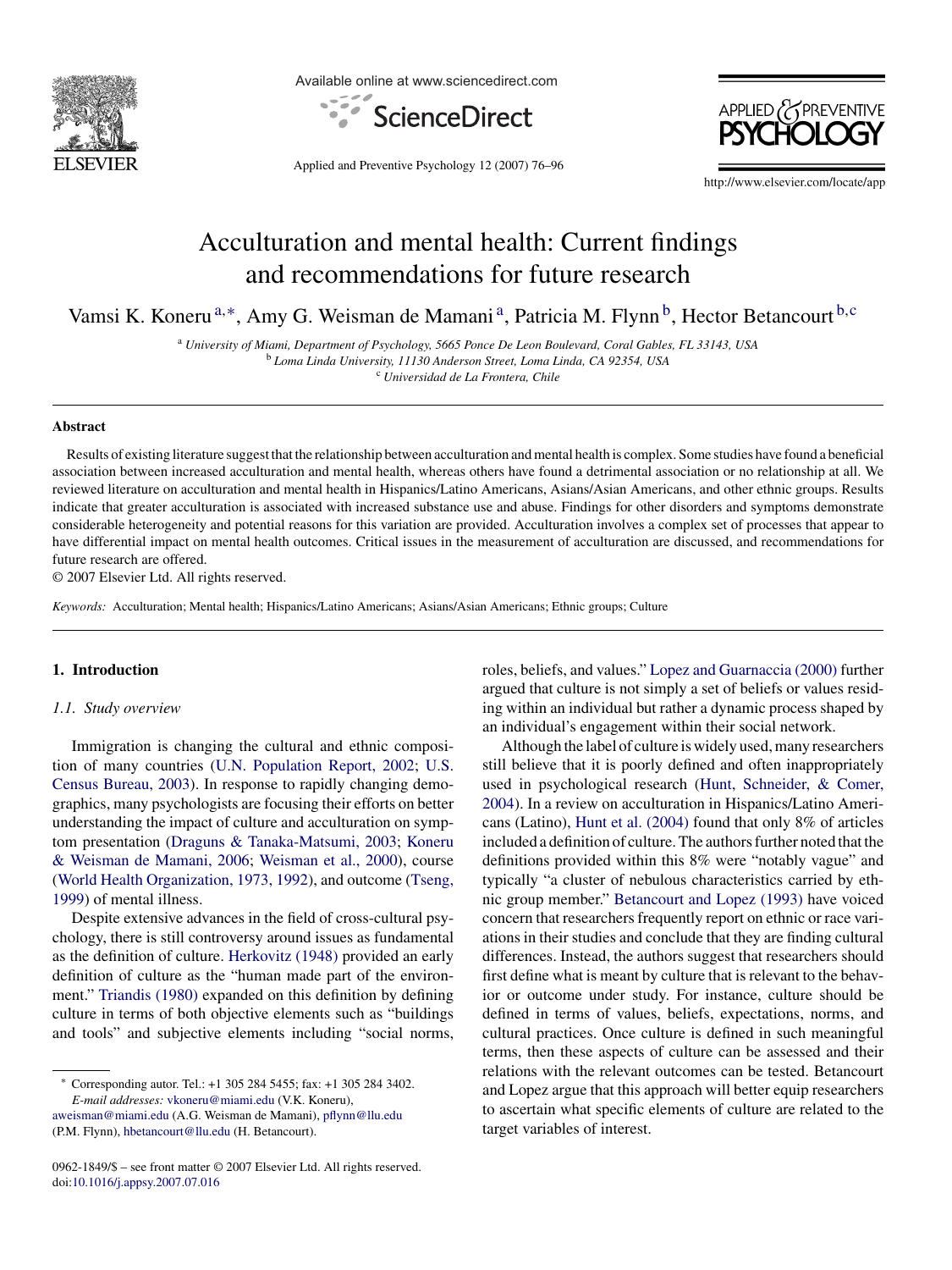

Available online at www.sciencedirect.com



APPLIED PREVENTIVE

Applied and Preventive Psychology 12 (2007) 76–96

http://www.elsevier.com/locate/app

# Acculturation and mental health: Current findings and recommendations for future research

Vamsi K. Koneru<sup>a,∗</sup>, Amy G. Weisman de Mamani<sup>a</sup>, Patricia M. Flynn<sup>b</sup>, Hector Betancourt<sup>b, c</sup>

<sup>a</sup> *University of Miami, Department of Psychology, 5665 Ponce De Leon Boulevard, Coral Gables, FL 33143, USA* <sup>b</sup> *Loma Linda University, 11130 Anderson Street, Loma Linda, CA 92354, USA*

<sup>c</sup> *Universidad de La Frontera, Chile*

#### **Abstract**

Results of existing literature suggest that the relationship between acculturation and mental health is complex. Some studies have found a beneficial association between increased acculturation and mental health, whereas others have found a detrimental association or no relationship at all. We reviewed literature on acculturation and mental health in Hispanics/Latino Americans, Asians/Asian Americans, and other ethnic groups. Results indicate that greater acculturation is associated with increased substance use and abuse. Findings for other disorders and symptoms demonstrate considerable heterogeneity and potential reasons for this variation are provided. Acculturation involves a complex set of processes that appear to have differential impact on mental health outcomes. Critical issues in the measurement of acculturation are discussed, and recommendations for future research are offered.

© 2007 Elsevier Ltd. All rights reserved.

*Keywords:* Acculturation; Mental health; Hispanics/Latino Americans; Asians/Asian Americans; Ethnic groups; Culture

# **1. Introduction**

## *1.1. Study overview*

Immigration is changing the cultural and ethnic composition of many countries ([U.N. Population Report, 2002;](#page-20-0) [U.S.](#page-20-0) [Census Bureau, 2003\).](#page-20-0) In response to rapidly changing demographics, many psychologists are focusing their efforts on better understanding the impact of culture and acculturation on symptom presentation [\(Draguns & Tanaka-Matsumi, 2003;](#page-16-0) [Koneru](#page-17-0) [& Weisman de Mamani, 2006;](#page-17-0) [Weisman et al., 2000\),](#page-20-0) course [\(World Health Organization, 1973, 1992\),](#page-20-0) and outcome [\(Tseng,](#page-20-0) [1999\)](#page-20-0) of mental illness.

Despite extensive advances in the field of cross-cultural psychology, there is still controversy around issues as fundamental as the definition of culture. [Herkovitz \(1948\)](#page-17-0) provided an early definition of culture as the "human made part of the environment." [Triandis \(1980\)](#page-20-0) expanded on this definition by defining culture in terms of both objective elements such as "buildings and tools" and subjective elements including "social norms,

[aweisman@miami.edu](mailto:aweisman@miami.edu) (A.G. Weisman de Mamani), [pflynn@llu.edu](mailto:pflynn@llu.edu) (P.M. Flynn), [hbetancourt@llu.edu](mailto:hbetancourt@llu.edu) (H. Betancourt).

roles, beliefs, and values." [Lopez and Guarnaccia \(2000\)](#page-18-0) further argued that culture is not simply a set of beliefs or values residing within an individual but rather a dynamic process shaped by an individual's engagement within their social network.

Although the label of culture is widely used, many researchers still believe that it is poorly defined and often inappropriately used in psychological research ([Hunt, Schneider, & Comer,](#page-17-0) [2004\).](#page-17-0) In a review on acculturation in Hispanics/Latino Americans (Latino), [Hunt et al. \(2004\)](#page-17-0) found that only 8% of articles included a definition of culture. The authors further noted that the definitions provided within this 8% were "notably vague" and typically "a cluster of nebulous characteristics carried by ethnic group member." [Betancourt and Lopez \(1993\)](#page-15-0) have voiced concern that researchers frequently report on ethnic or race variations in their studies and conclude that they are finding cultural differences. Instead, the authors suggest that researchers should first define what is meant by culture that is relevant to the behavior or outcome under study. For instance, culture should be defined in terms of values, beliefs, expectations, norms, and cultural practices. Once culture is defined in such meaningful terms, then these aspects of culture can be assessed and their relations with the relevant outcomes can be tested. Betancourt and Lopez argue that this approach will better equip researchers to ascertain what specific elements of culture are related to the target variables of interest.

<sup>∗</sup> Corresponding autor. Tel.: +1 305 284 5455; fax: +1 305 284 3402. *E-mail addresses:* [vkoneru@miami.edu](mailto:vkoneru@miami.edu) (V.K. Koneru),

<sup>0962-1849/\$ –</sup> see front matter © 2007 Elsevier Ltd. All rights reserved. doi[:10.1016/j.appsy.2007.07.016](dx.doi.org/10.1016/j.appsy.2007.07.016)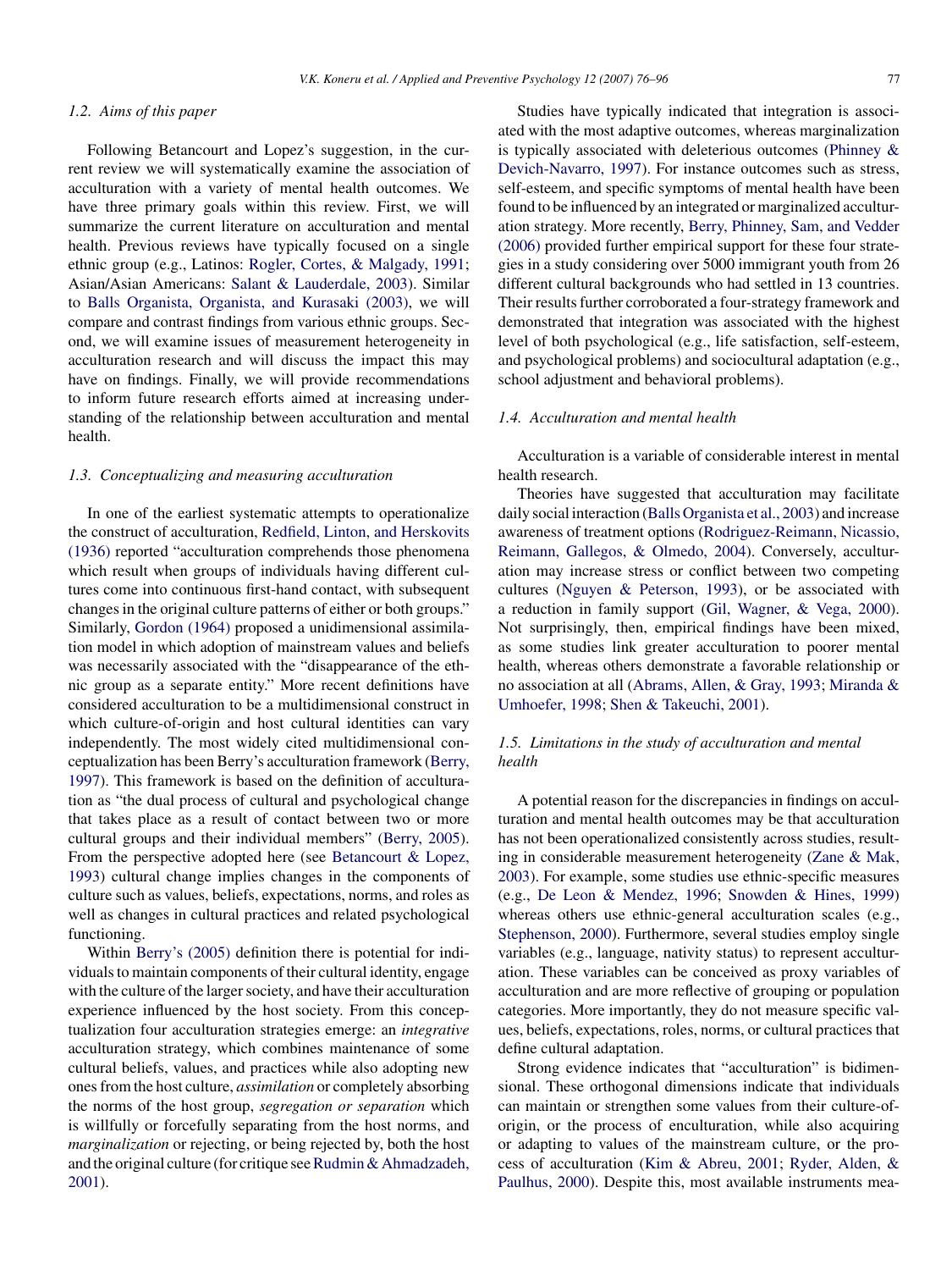#### *1.2. Aims of this paper*

Following Betancourt and Lopez's suggestion, in the current review we will systematically examine the association of acculturation with a variety of mental health outcomes. We have three primary goals within this review. First, we will summarize the current literature on acculturation and mental health. Previous reviews have typically focused on a single ethnic group (e.g., Latinos: [Rogler, Cortes, & Malgady, 1991;](#page-19-0) Asian/Asian Americans: [Salant & Lauderdale, 2003\).](#page-19-0) Similar to [Balls Organista, Organista, and Kurasaki \(2003\),](#page-15-0) we will compare and contrast findings from various ethnic groups. Second, we will examine issues of measurement heterogeneity in acculturation research and will discuss the impact this may have on findings. Finally, we will provide recommendations to inform future research efforts aimed at increasing understanding of the relationship between acculturation and mental health.

## *1.3. Conceptualizing and measuring acculturation*

In one of the earliest systematic attempts to operationalize the construct of acculturation, [Redfield, Linton, and Herskovits](#page-19-0) [\(1936\)](#page-19-0) reported "acculturation comprehends those phenomena which result when groups of individuals having different cultures come into continuous first-hand contact, with subsequent changes in the original culture patterns of either or both groups." Similarly, [Gordon \(1964\)](#page-17-0) proposed a unidimensional assimilation model in which adoption of mainstream values and beliefs was necessarily associated with the "disappearance of the ethnic group as a separate entity." More recent definitions have considered acculturation to be a multidimensional construct in which culture-of-origin and host cultural identities can vary independently. The most widely cited multidimensional conceptualization has been Berry's acculturation framework [\(Berry,](#page-15-0) [1997\).](#page-15-0) This framework is based on the definition of acculturation as "the dual process of cultural and psychological change that takes place as a result of contact between two or more cultural groups and their individual members" ([Berry, 2005\).](#page-15-0) From the perspective adopted here (see [Betancourt & Lopez,](#page-15-0) [1993\)](#page-15-0) cultural change implies changes in the components of culture such as values, beliefs, expectations, norms, and roles as well as changes in cultural practices and related psychological functioning.

Within [Berry's \(2005\)](#page-15-0) definition there is potential for individuals to maintain components of their cultural identity, engage with the culture of the larger society, and have their acculturation experience influenced by the host society. From this conceptualization four acculturation strategies emerge: an *integrative* acculturation strategy, which combines maintenance of some cultural beliefs, values, and practices while also adopting new ones from the host culture, *assimilation* or completely absorbing the norms of the host group, *segregation or separation* which is willfully or forcefully separating from the host norms, and *marginalization* or rejecting, or being rejected by, both the host and the original culture (for critique see Rudmin  $&$  Ahmadzadeh, [2001\).](#page-19-0)

Studies have typically indicated that integration is associated with the most adaptive outcomes, whereas marginalization is typically associated with deleterious outcomes ([Phinney &](#page-15-0) [Devich-Navarro, 1997\).](#page-15-0) For instance outcomes such as stress, self-esteem, and specific symptoms of mental health have been found to be influenced by an integrated or marginalized acculturation strategy. More recently, [Berry, Phinney, Sam, and Vedder](#page-15-0) [\(2006\)](#page-15-0) provided further empirical support for these four strategies in a study considering over 5000 immigrant youth from 26 different cultural backgrounds who had settled in 13 countries. Their results further corroborated a four-strategy framework and demonstrated that integration was associated with the highest level of both psychological (e.g., life satisfaction, self-esteem, and psychological problems) and sociocultural adaptation (e.g., school adjustment and behavioral problems).

#### *1.4. Acculturation and mental health*

Acculturation is a variable of considerable interest in mental health research.

Theories have suggested that acculturation may facilitate daily social interaction [\(Balls Organista et al., 2003\)](#page-15-0) and increase awareness of treatment options [\(Rodriguez-Reimann, Nicassio,](#page-19-0) [Reimann, Gallegos, & Olmedo, 2004\).](#page-19-0) Conversely, acculturation may increase stress or conflict between two competing cultures [\(Nguyen & Peterson, 1993\),](#page-18-0) or be associated with a reduction in family support ([Gil, Wagner, & Vega, 2000\).](#page-17-0) Not surprisingly, then, empirical findings have been mixed, as some studies link greater acculturation to poorer mental health, whereas others demonstrate a favorable relationship or no association at all ([Abrams, Allen, & Gray, 1993;](#page-15-0) [Miranda &](#page-17-0) [Umhoefer, 1998;](#page-17-0) [Shen & Takeuchi, 2001\).](#page-19-0)

# *1.5. Limitations in the study of acculturation and mental health*

A potential reason for the discrepancies in findings on acculturation and mental health outcomes may be that acculturation has not been operationalized consistently across studies, resulting in considerable measurement heterogeneity [\(Zane & Mak,](#page-20-0) [2003\).](#page-20-0) For example, some studies use ethnic-specific measures (e.g., [De Leon & Mendez, 1996;](#page-16-0) [Snowden & Hines, 1999\)](#page-19-0) whereas others use ethnic-general acculturation scales (e.g., [Stephenson, 2000\).](#page-19-0) Furthermore, several studies employ single variables (e.g., language, nativity status) to represent acculturation. These variables can be conceived as proxy variables of acculturation and are more reflective of grouping or population categories. More importantly, they do not measure specific values, beliefs, expectations, roles, norms, or cultural practices that define cultural adaptation.

Strong evidence indicates that "acculturation" is bidimensional. These orthogonal dimensions indicate that individuals can maintain or strengthen some values from their culture-oforigin, or the process of enculturation, while also acquiring or adapting to values of the mainstream culture, or the process of acculturation [\(Kim & Abreu, 2001;](#page-17-0) [Ryder, Alden, &](#page-19-0) [Paulhus, 2000\).](#page-19-0) Despite this, most available instruments mea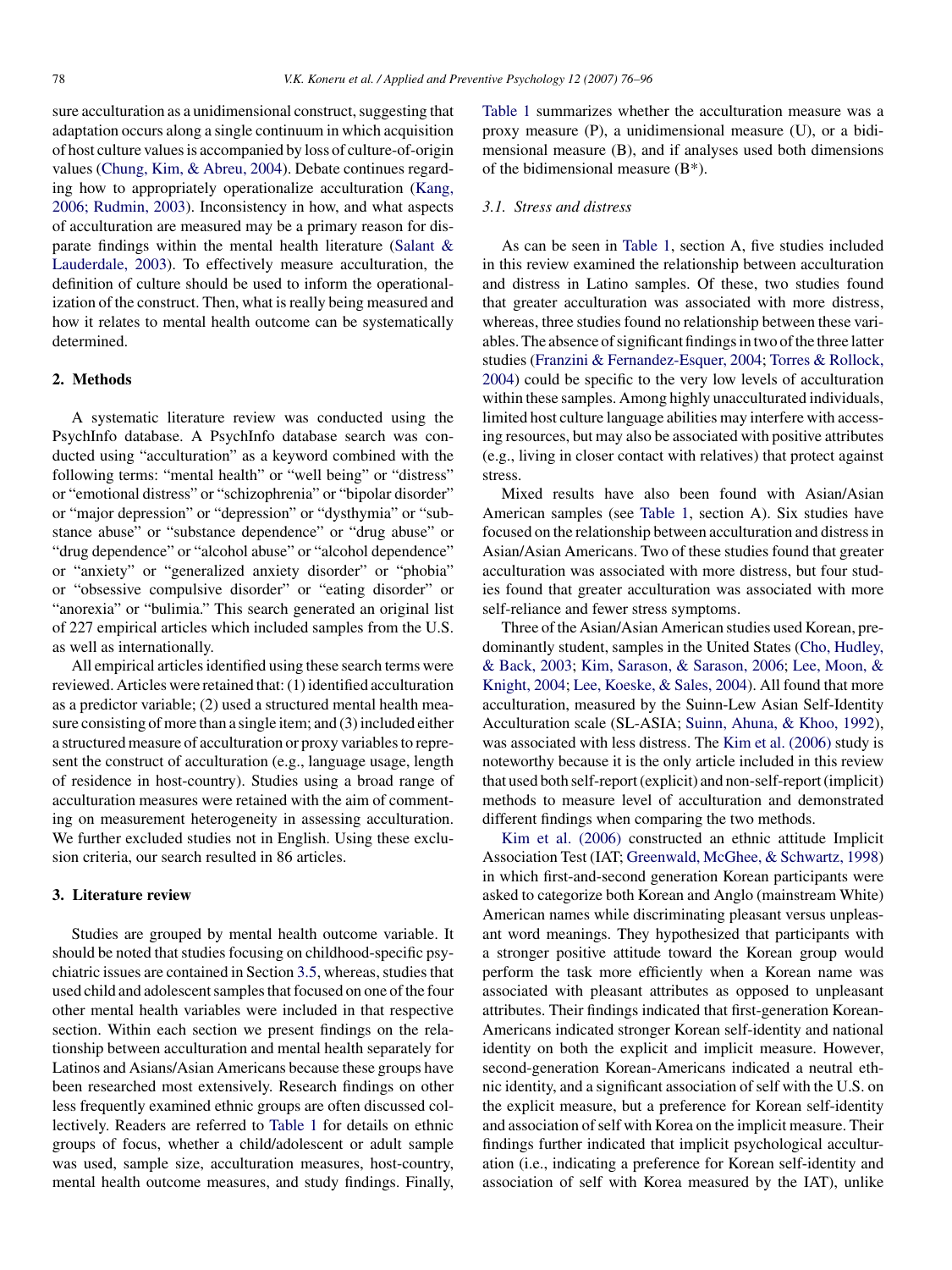sure acculturation as a unidimensional construct, suggesting that adaptation occurs along a single continuum in which acquisition of host culture values is accompanied by loss of culture-of-origin values ([Chung, Kim, & Abreu, 2004\).](#page-16-0) Debate continues regarding how to appropriately operationalize acculturation ([Kang,](#page-17-0) [2006; Rudmin, 2003\).](#page-17-0) Inconsistency in how, and what aspects of acculturation are measured may be a primary reason for disparate findings within the mental health literature [\(Salant &](#page-19-0) [Lauderdale, 2003\).](#page-19-0) To effectively measure acculturation, the definition of culture should be used to inform the operationalization of the construct. Then, what is really being measured and how it relates to mental health outcome can be systematically determined.

# **2. Methods**

A systematic literature review was conducted using the PsychInfo database. A PsychInfo database search was conducted using "acculturation" as a keyword combined with the following terms: "mental health" or "well being" or "distress" or "emotional distress" or "schizophrenia" or "bipolar disorder" or "major depression" or "depression" or "dysthymia" or "substance abuse" or "substance dependence" or "drug abuse" or "drug dependence" or "alcohol abuse" or "alcohol dependence" or "anxiety" or "generalized anxiety disorder" or "phobia" or "obsessive compulsive disorder" or "eating disorder" or "anorexia" or "bulimia." This search generated an original list of 227 empirical articles which included samples from the U.S. as well as internationally.

All empirical articles identified using these search terms were reviewed. Articles were retained that: (1) identified acculturation as a predictor variable; (2) used a structured mental health measure consisting of more than a single item; and (3) included either a structured measure of acculturation or proxy variables to represent the construct of acculturation (e.g., language usage, length of residence in host-country). Studies using a broad range of acculturation measures were retained with the aim of commenting on measurement heterogeneity in assessing acculturation. We further excluded studies not in English. Using these exclusion criteria, our search resulted in 86 articles.

# **3. Literature review**

Studies are grouped by mental health outcome variable. It should be noted that studies focusing on childhood-specific psychiatric issues are contained in Section [3.5, w](#page-12-0)hereas, studies that used child and adolescent samples that focused on one of the four other mental health variables were included in that respective section. Within each section we present findings on the relationship between acculturation and mental health separately for Latinos and Asians/Asian Americans because these groups have been researched most extensively. Research findings on other less frequently examined ethnic groups are often discussed collectively. Readers are referred to [Table 1](#page-3-0) for details on ethnic groups of focus, whether a child/adolescent or adult sample was used, sample size, acculturation measures, host-country, mental health outcome measures, and study findings. Finally,

[Table 1](#page-3-0) summarizes whether the acculturation measure was a proxy measure (P), a unidimensional measure (U), or a bidimensional measure (B), and if analyses used both dimensions of the bidimensional measure (B\*).

# *3.1. Stress and distress*

As can be seen in [Table 1,](#page-3-0) section A, five studies included in this review examined the relationship between acculturation and distress in Latino samples. Of these, two studies found that greater acculturation was associated with more distress, whereas, three studies found no relationship between these variables. The absence of significant findings in two of the three latter studies ([Franzini & Fernandez-Esquer, 2004;](#page-16-0) [Torres & Rollock,](#page-20-0) [2004\)](#page-20-0) could be specific to the very low levels of acculturation within these samples. Among highly unacculturated individuals, limited host culture language abilities may interfere with accessing resources, but may also be associated with positive attributes (e.g., living in closer contact with relatives) that protect against stress.

Mixed results have also been found with Asian/Asian American samples (see [Table 1,](#page-3-0) section A). Six studies have focused on the relationship between acculturation and distress in Asian/Asian Americans. Two of these studies found that greater acculturation was associated with more distress, but four studies found that greater acculturation was associated with more self-reliance and fewer stress symptoms.

Three of the Asian/Asian American studies used Korean, predominantly student, samples in the United States [\(Cho, Hudley,](#page-16-0) [& Back, 2003;](#page-16-0) [Kim, Sarason, & Sarason, 2006;](#page-17-0) [Lee, Moon, &](#page-18-0) [Knight, 2004;](#page-18-0) [Lee, Koeske, & Sales, 2004\).](#page-18-0) All found that more acculturation, measured by the Suinn-Lew Asian Self-Identity Acculturation scale (SL-ASIA; [Suinn, Ahuna, & Khoo, 1992\),](#page-20-0) was associated with less distress. The [Kim et al. \(2006\)](#page-17-0) study is noteworthy because it is the only article included in this review that used both self-report (explicit) and non-self-report (implicit) methods to measure level of acculturation and demonstrated different findings when comparing the two methods.

[Kim et al. \(2006\)](#page-17-0) constructed an ethnic attitude Implicit Association Test (IAT; [Greenwald, McGhee, & Schwartz, 1998\)](#page-17-0) in which first-and-second generation Korean participants were asked to categorize both Korean and Anglo (mainstream White) American names while discriminating pleasant versus unpleasant word meanings. They hypothesized that participants with a stronger positive attitude toward the Korean group would perform the task more efficiently when a Korean name was associated with pleasant attributes as opposed to unpleasant attributes. Their findings indicated that first-generation Korean-Americans indicated stronger Korean self-identity and national identity on both the explicit and implicit measure. However, second-generation Korean-Americans indicated a neutral ethnic identity, and a significant association of self with the U.S. on the explicit measure, but a preference for Korean self-identity and association of self with Korea on the implicit measure. Their findings further indicated that implicit psychological acculturation (i.e., indicating a preference for Korean self-identity and association of self with Korea measured by the IAT), unlike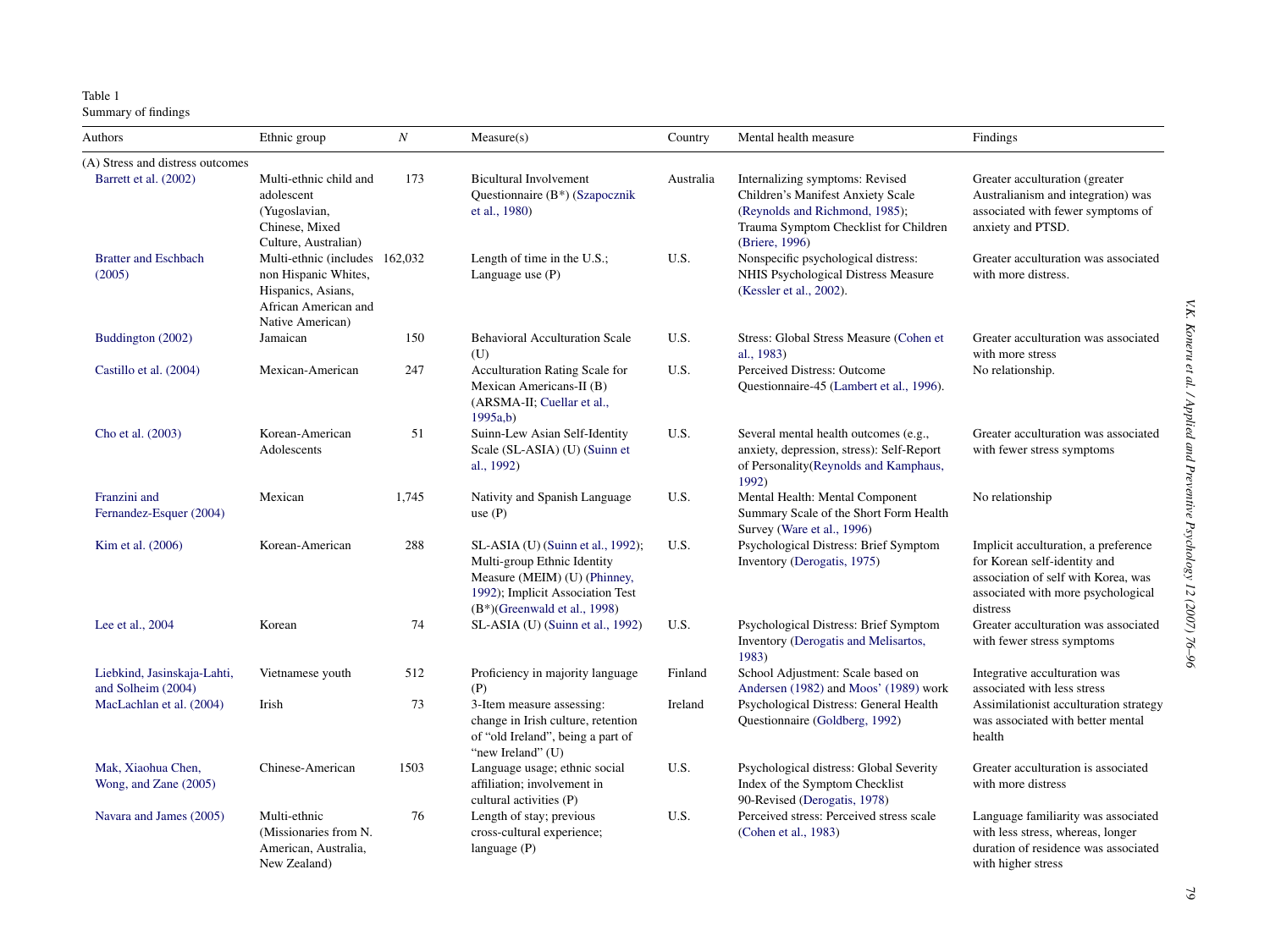<span id="page-3-0"></span>

| Table 1             |  |
|---------------------|--|
| Summary of findings |  |

| Authors                                           | Ethnic group                                                                                                             | $\boldsymbol{N}$ | Measure(s)                                                                                                                                                              | Country   | Mental health measure                                                                                                                                             | Findings                                                                                                                                                      |
|---------------------------------------------------|--------------------------------------------------------------------------------------------------------------------------|------------------|-------------------------------------------------------------------------------------------------------------------------------------------------------------------------|-----------|-------------------------------------------------------------------------------------------------------------------------------------------------------------------|---------------------------------------------------------------------------------------------------------------------------------------------------------------|
| (A) Stress and distress outcomes                  |                                                                                                                          |                  |                                                                                                                                                                         |           |                                                                                                                                                                   |                                                                                                                                                               |
| Barrett et al. (2002)                             | Multi-ethnic child and<br>adolescent<br>(Yugoslavian,<br>Chinese, Mixed<br>Culture, Australian)                          | 173              | <b>Bicultural Involvement</b><br>Questionnaire $(B^*)$ (Szapocznik<br>et al., 1980)                                                                                     | Australia | Internalizing symptoms: Revised<br>Children's Manifest Anxiety Scale<br>(Reynolds and Richmond, 1985);<br>Trauma Symptom Checklist for Children<br>(Briere, 1996) | Greater acculturation (greater<br>Australianism and integration) was<br>associated with fewer symptoms of<br>anxiety and PTSD.                                |
| <b>Bratter and Eschbach</b><br>(2005)             | Multi-ethnic (includes 162,032<br>non Hispanic Whites,<br>Hispanics, Asians,<br>African American and<br>Native American) |                  | Length of time in the $U.S.$ ;<br>Language use $(P)$                                                                                                                    | U.S.      | Nonspecific psychological distress:<br>NHIS Psychological Distress Measure<br>(Kessler et al., 2002).                                                             | Greater acculturation was associated<br>with more distress.                                                                                                   |
| Buddington (2002)                                 | Jamaican                                                                                                                 | 150              | <b>Behavioral Acculturation Scale</b><br>(U)                                                                                                                            | U.S.      | Stress: Global Stress Measure (Cohen et<br>al., 1983)                                                                                                             | Greater acculturation was associated<br>with more stress                                                                                                      |
| Castillo et al. (2004)                            | Mexican-American                                                                                                         | 247              | <b>Acculturation Rating Scale for</b><br>Mexican Americans-II (B)<br>(ARSMA-II; Cuellar et al.,<br>1995a,b)                                                             | U.S.      | Perceived Distress: Outcome<br>Questionnaire-45 (Lambert et al., 1996).                                                                                           | No relationship.                                                                                                                                              |
| Cho et al. (2003)                                 | Korean-American<br>Adolescents                                                                                           | 51               | Suinn-Lew Asian Self-Identity<br>Scale (SL-ASIA) (U) (Suinn et<br>al., 1992)                                                                                            | U.S.      | Several mental health outcomes (e.g.,<br>anxiety, depression, stress): Self-Report<br>of Personality (Reynolds and Kamphaus,<br>1992)                             | Greater acculturation was associated<br>with fewer stress symptoms                                                                                            |
| Franzini and<br>Fernandez-Esquer (2004)           | Mexican                                                                                                                  | 1,745            | Nativity and Spanish Language<br>use $(P)$                                                                                                                              | U.S.      | Mental Health: Mental Component<br>Summary Scale of the Short Form Health<br>Survey (Ware et al., 1996)                                                           | No relationship                                                                                                                                               |
| Kim et al. (2006)                                 | Korean-American                                                                                                          | 288              | SL-ASIA (U) (Suinn et al., 1992);<br>Multi-group Ethnic Identity<br>Measure (MEIM) (U) (Phinney,<br>1992); Implicit Association Test<br>$(B^*)(Greenwald et al., 1998)$ | U.S.      | Psychological Distress: Brief Symptom<br>Inventory (Derogatis, 1975)                                                                                              | Implicit acculturation, a preference<br>for Korean self-identity and<br>association of self with Korea, was<br>associated with more psychological<br>distress |
| Lee et al., 2004                                  | Korean                                                                                                                   | 74               | SL-ASIA (U) (Suinn et al., 1992)                                                                                                                                        | U.S.      | Psychological Distress: Brief Symptom<br>Inventory (Derogatis and Melisartos,<br>1983)                                                                            | Greater acculturation was associated<br>with fewer stress symptoms                                                                                            |
| Liebkind, Jasinskaja-Lahti,<br>and Solheim (2004) | Vietnamese youth                                                                                                         | 512              | Proficiency in majority language<br>(P)                                                                                                                                 | Finland   | School Adjustment: Scale based on<br>Andersen (1982) and Moos' (1989) work                                                                                        | Integrative acculturation was<br>associated with less stress                                                                                                  |
| MacLachlan et al. (2004)                          | Irish                                                                                                                    | 73               | 3-Item measure assessing:<br>change in Irish culture, retention<br>of "old Ireland", being a part of<br>"new Ireland" (U)                                               | Ireland   | Psychological Distress: General Health<br>Questionnaire (Goldberg, 1992)                                                                                          | Assimilationist acculturation strategy<br>was associated with better mental<br>health                                                                         |
| Mak, Xiaohua Chen,<br>Wong, and Zane $(2005)$     | Chinese-American                                                                                                         | 1503             | Language usage; ethnic social<br>affiliation; involvement in<br>cultural activities (P)                                                                                 | U.S.      | Psychological distress: Global Severity<br>Index of the Symptom Checklist<br>90-Revised (Derogatis, 1978)                                                         | Greater acculturation is associated<br>with more distress                                                                                                     |
| Navara and James (2005)                           | Multi-ethnic<br>(Missionaries from N.<br>American, Australia,<br>New Zealand)                                            | 76               | Length of stay; previous<br>cross-cultural experience;<br>language $(P)$                                                                                                | U.S.      | Perceived stress: Perceived stress scale<br>(Cohen et al., 1983)                                                                                                  | Language familiarity was associated<br>with less stress, whereas, longer<br>duration of residence was associated<br>with higher stress                        |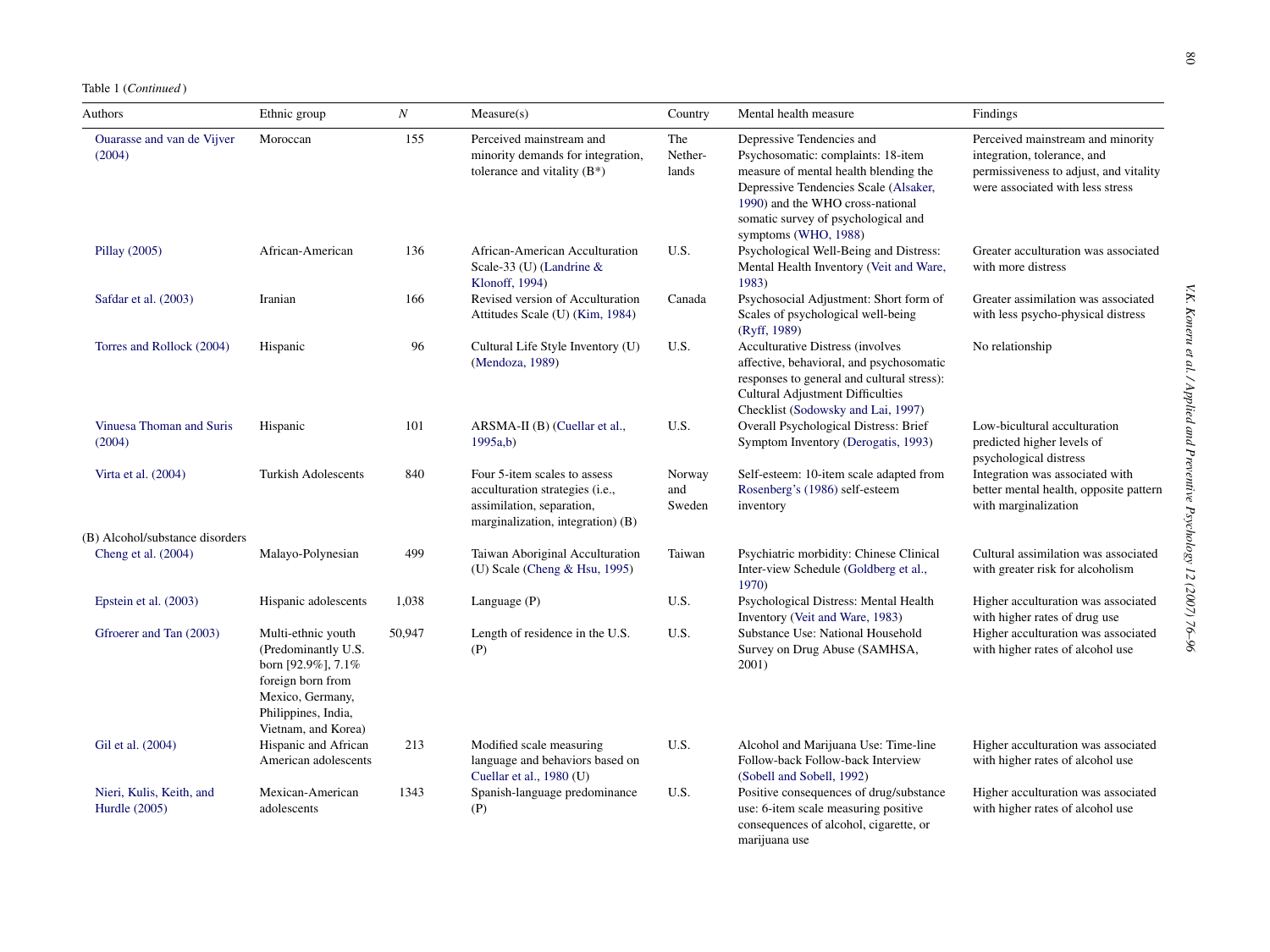| Authors                                   | Ethnic group                                                                                                                                           | $\boldsymbol{N}$ | Measure(s)                                                                                                                        | Country                 | Mental health measure                                                                                                                                                                                                                                | Findings                                                                                                                                       |
|-------------------------------------------|--------------------------------------------------------------------------------------------------------------------------------------------------------|------------------|-----------------------------------------------------------------------------------------------------------------------------------|-------------------------|------------------------------------------------------------------------------------------------------------------------------------------------------------------------------------------------------------------------------------------------------|------------------------------------------------------------------------------------------------------------------------------------------------|
| Ouarasse and van de Vijver<br>(2004)      | Moroccan                                                                                                                                               | 155              | Perceived mainstream and<br>minority demands for integration,<br>tolerance and vitality $(B^*)$                                   | The<br>Nether-<br>lands | Depressive Tendencies and<br>Psychosomatic: complaints: 18-item<br>measure of mental health blending the<br>Depressive Tendencies Scale (Alsaker,<br>1990) and the WHO cross-national<br>somatic survey of psychological and<br>symptoms (WHO, 1988) | Perceived mainstream and minority<br>integration, tolerance, and<br>permissiveness to adjust, and vitality<br>were associated with less stress |
| Pillay (2005)                             | African-American                                                                                                                                       | 136              | African-American Acculturation<br>Scale-33 (U) (Landrine &<br>Klonoff, 1994)                                                      | U.S.                    | Psychological Well-Being and Distress:<br>Mental Health Inventory (Veit and Ware,<br>1983)                                                                                                                                                           | Greater acculturation was associated<br>with more distress                                                                                     |
| Safdar et al. (2003)                      | Iranian                                                                                                                                                | 166              | Revised version of Acculturation<br>Attitudes Scale (U) (Kim, 1984)                                                               | Canada                  | Psychosocial Adjustment: Short form of<br>Scales of psychological well-being<br>(Ryff, 1989)                                                                                                                                                         | Greater assimilation was associated<br>with less psycho-physical distress                                                                      |
| Torres and Rollock (2004)                 | Hispanic                                                                                                                                               | 96               | Cultural Life Style Inventory (U)<br>(Mendoza, 1989)                                                                              | U.S.                    | <b>Acculturative Distress (involves</b><br>affective, behavioral, and psychosomatic<br>responses to general and cultural stress):<br><b>Cultural Adjustment Difficulties</b><br>Checklist (Sodowsky and Lai, 1997)                                   | No relationship                                                                                                                                |
| Vinuesa Thoman and Suris<br>(2004)        | Hispanic                                                                                                                                               | 101              | ARSMA-II (B) (Cuellar et al.,<br>1995a,b)                                                                                         | U.S.                    | Overall Psychological Distress: Brief<br>Symptom Inventory (Derogatis, 1993)                                                                                                                                                                         | Low-bicultural acculturation<br>predicted higher levels of<br>psychological distress                                                           |
| Virta et al. (2004)                       | <b>Turkish Adolescents</b>                                                                                                                             | 840              | Four 5-item scales to assess<br>acculturation strategies (i.e.,<br>assimilation, separation,<br>marginalization, integration) (B) | Norway<br>and<br>Sweden | Self-esteem: 10-item scale adapted from<br>Rosenberg's (1986) self-esteem<br>inventory                                                                                                                                                               | Integration was associated with<br>better mental health, opposite pattern<br>with marginalization                                              |
| (B) Alcohol/substance disorders           |                                                                                                                                                        |                  |                                                                                                                                   |                         |                                                                                                                                                                                                                                                      |                                                                                                                                                |
| Cheng et al. $(2004)$                     | Malayo-Polynesian                                                                                                                                      | 499              | Taiwan Aboriginal Acculturation<br>(U) Scale (Cheng & Hsu, 1995)                                                                  | Taiwan                  | Psychiatric morbidity: Chinese Clinical<br>Inter-view Schedule (Goldberg et al.,<br>1970)                                                                                                                                                            | Cultural assimilation was associated<br>with greater risk for alcoholism                                                                       |
| Epstein et al. (2003)                     | Hispanic adolescents                                                                                                                                   | 1,038            | Language $(P)$                                                                                                                    | U.S.                    | Psychological Distress: Mental Health<br>Inventory (Veit and Ware, 1983)                                                                                                                                                                             | Higher acculturation was associated<br>with higher rates of drug use                                                                           |
| Gfroerer and Tan (2003)                   | Multi-ethnic youth<br>(Predominantly U.S.<br>born [92.9%], 7.1%<br>foreign born from<br>Mexico, Germany,<br>Philippines, India,<br>Vietnam, and Korea) | 50,947           | Length of residence in the U.S.<br>(P)                                                                                            | U.S.                    | Substance Use: National Household<br>Survey on Drug Abuse (SAMHSA,<br>2001)                                                                                                                                                                          | Higher acculturation was associated<br>with higher rates of alcohol use                                                                        |
| Gil et al. (2004)                         | Hispanic and African<br>American adolescents                                                                                                           | 213              | Modified scale measuring<br>language and behaviors based on<br>Cuellar et al., 1980 (U)                                           | U.S.                    | Alcohol and Marijuana Use: Time-line<br>Follow-back Follow-back Interview<br>(Sobell and Sobell, 1992)                                                                                                                                               | Higher acculturation was associated<br>with higher rates of alcohol use                                                                        |
| Nieri, Kulis, Keith, and<br>Hurdle (2005) | Mexican-American<br>adolescents                                                                                                                        | 1343             | Spanish-language predominance<br>(P)                                                                                              | U.S.                    | Positive consequences of drug/substance<br>use: 6-item scale measuring positive<br>consequences of alcohol, cigarette, or<br>marijuana use                                                                                                           | Higher acculturation was associated<br>with higher rates of alcohol use                                                                        |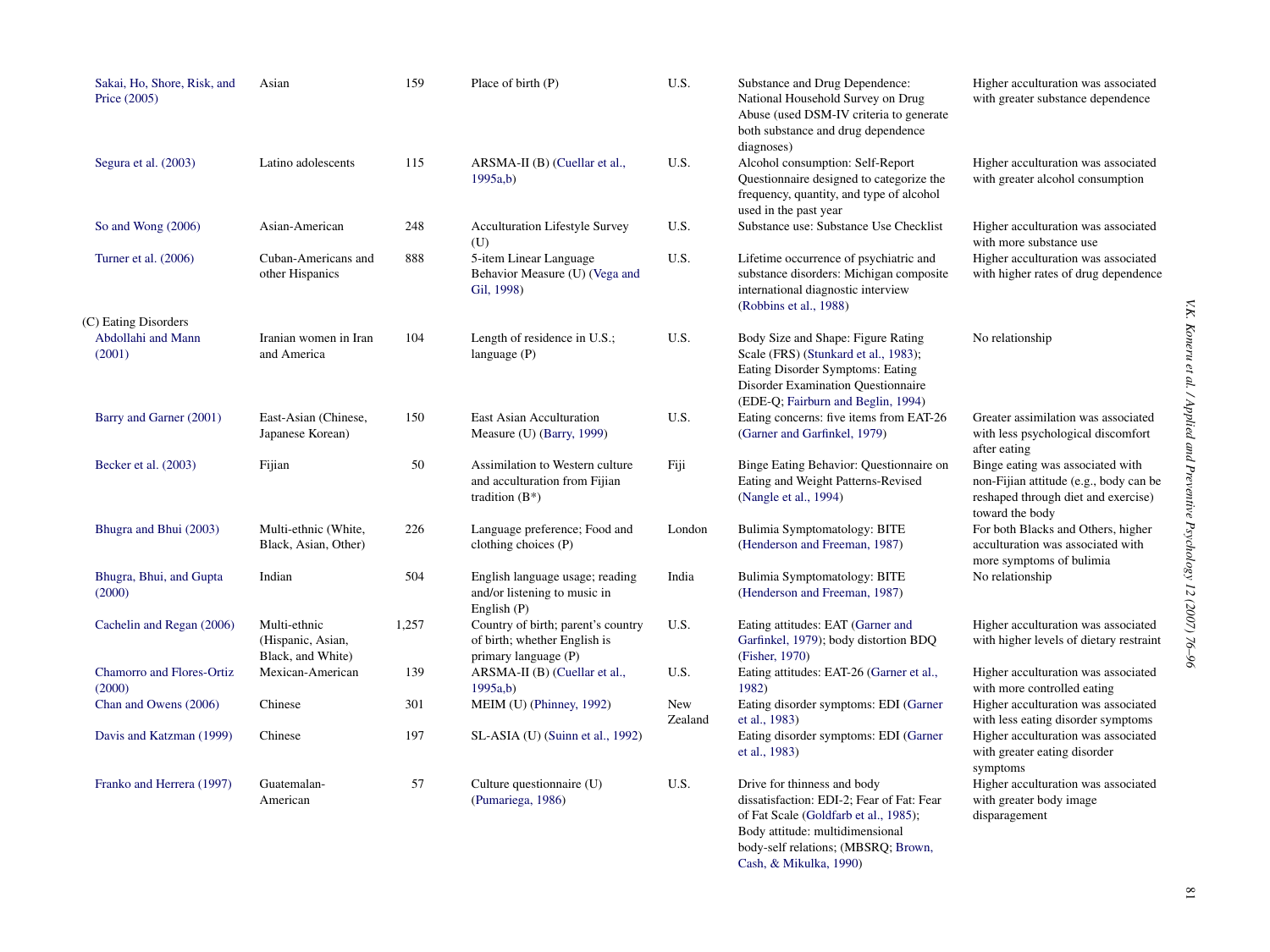| Sakai, Ho, Shore, Risk, and<br>Price (2005)          | Asian                                                  | 159   | Place of birth (P)                                                                         | U.S.           | Substance and Drug Dependence:<br>National Household Survey on Drug<br>Abuse (used DSM-IV criteria to generate<br>both substance and drug dependence<br>diagnoses)                                                    | Higher acculturation was associated<br>with greater substance dependence                                                             |
|------------------------------------------------------|--------------------------------------------------------|-------|--------------------------------------------------------------------------------------------|----------------|-----------------------------------------------------------------------------------------------------------------------------------------------------------------------------------------------------------------------|--------------------------------------------------------------------------------------------------------------------------------------|
| Segura et al. (2003)                                 | Latino adolescents                                     | 115   | ARSMA-II (B) (Cuellar et al.,<br>1995a,b)                                                  | U.S.           | Alcohol consumption: Self-Report<br>Questionnaire designed to categorize the<br>frequency, quantity, and type of alcohol<br>used in the past year                                                                     | Higher acculturation was associated<br>with greater alcohol consumption                                                              |
| So and Wong (2006)                                   | Asian-American                                         | 248   | <b>Acculturation Lifestyle Survey</b><br>(U)                                               | U.S.           | Substance use: Substance Use Checklist                                                                                                                                                                                | Higher acculturation was associated<br>with more substance use                                                                       |
| Turner et al. (2006)                                 | Cuban-Americans and<br>other Hispanics                 | 888   | 5-item Linear Language<br>Behavior Measure (U) (Vega and<br>Gil, 1998)                     | U.S.           | Lifetime occurrence of psychiatric and<br>substance disorders: Michigan composite<br>international diagnostic interview<br>(Robbins et al., 1988)                                                                     | Higher acculturation was associated<br>with higher rates of drug dependence                                                          |
| (C) Eating Disorders<br>Abdollahi and Mann<br>(2001) | Iranian women in Iran<br>and America                   | 104   | Length of residence in U.S.;<br>language $(P)$                                             | U.S.           | Body Size and Shape: Figure Rating<br>Scale (FRS) (Stunkard et al., 1983);<br>Eating Disorder Symptoms: Eating<br>Disorder Examination Questionnaire<br>(EDE-Q; Fairburn and Beglin, 1994)                            | No relationship                                                                                                                      |
| Barry and Garner (2001)                              | East-Asian (Chinese,<br>Japanese Korean)               | 150   | <b>East Asian Acculturation</b><br>Measure (U) (Barry, 1999)                               | U.S.           | Eating concerns: five items from EAT-26<br>(Garner and Garfinkel, 1979)                                                                                                                                               | Greater assimilation was associated<br>with less psychological discomfort<br>after eating                                            |
| Becker et al. (2003)                                 | Fijian                                                 | 50    | Assimilation to Western culture<br>and acculturation from Fijian<br>tradition $(B^*)$      | Fiji           | Binge Eating Behavior: Questionnaire on<br>Eating and Weight Patterns-Revised<br>(Nangle et al., 1994)                                                                                                                | Binge eating was associated with<br>non-Fijian attitude (e.g., body can be<br>reshaped through diet and exercise)<br>toward the body |
| Bhugra and Bhui (2003)                               | Multi-ethnic (White,<br>Black, Asian, Other)           | 226   | Language preference; Food and<br>clothing choices (P)                                      | London         | Bulimia Symptomatology: BITE<br>(Henderson and Freeman, 1987)                                                                                                                                                         | For both Blacks and Others, higher<br>acculturation was associated with<br>more symptoms of bulimia                                  |
| Bhugra, Bhui, and Gupta<br>(2000)                    | Indian                                                 | 504   | English language usage; reading<br>and/or listening to music in<br>English (P)             | India          | Bulimia Symptomatology: BITE<br>(Henderson and Freeman, 1987)                                                                                                                                                         | No relationship                                                                                                                      |
| Cachelin and Regan (2006)                            | Multi-ethnic<br>(Hispanic, Asian,<br>Black, and White) | 1,257 | Country of birth; parent's country<br>of birth; whether English is<br>primary language (P) | U.S.           | Eating attitudes: EAT (Garner and<br>Garfinkel, 1979); body distortion BDQ<br>(Fisher, 1970)                                                                                                                          | Higher acculturation was associated<br>with higher levels of dietary restraint                                                       |
| <b>Chamorro and Flores-Ortiz</b><br>(2000)           | Mexican-American                                       | 139   | ARSMA-II (B) (Cuellar et al.,<br>1995a,b)                                                  | U.S.           | Eating attitudes: EAT-26 (Garner et al.,<br>1982)                                                                                                                                                                     | Higher acculturation was associated<br>with more controlled eating                                                                   |
| Chan and Owens (2006)                                | Chinese                                                | 301   | MEIM (U) (Phinney, 1992)                                                                   | New<br>Zealand | Eating disorder symptoms: EDI (Garner<br>et al., 1983)                                                                                                                                                                | Higher acculturation was associated<br>with less eating disorder symptoms                                                            |
| Davis and Katzman (1999)                             | Chinese                                                | 197   | SL-ASIA (U) (Suinn et al., 1992)                                                           |                | Eating disorder symptoms: EDI (Garner<br>et al., 1983)                                                                                                                                                                | Higher acculturation was associated<br>with greater eating disorder<br>symptoms                                                      |
| Franko and Herrera (1997)                            | Guatemalan-<br>American                                | 57    | Culture questionnaire (U)<br>(Pumariega, 1986)                                             | U.S.           | Drive for thinness and body<br>dissatisfaction: EDI-2; Fear of Fat: Fear<br>of Fat Scale (Goldfarb et al., 1985);<br>Body attitude: multidimensional<br>body-self relations; (MBSRQ; Brown,<br>Cash, & Mikulka, 1990) | Higher acculturation was associated<br>with greater body image<br>disparagement                                                      |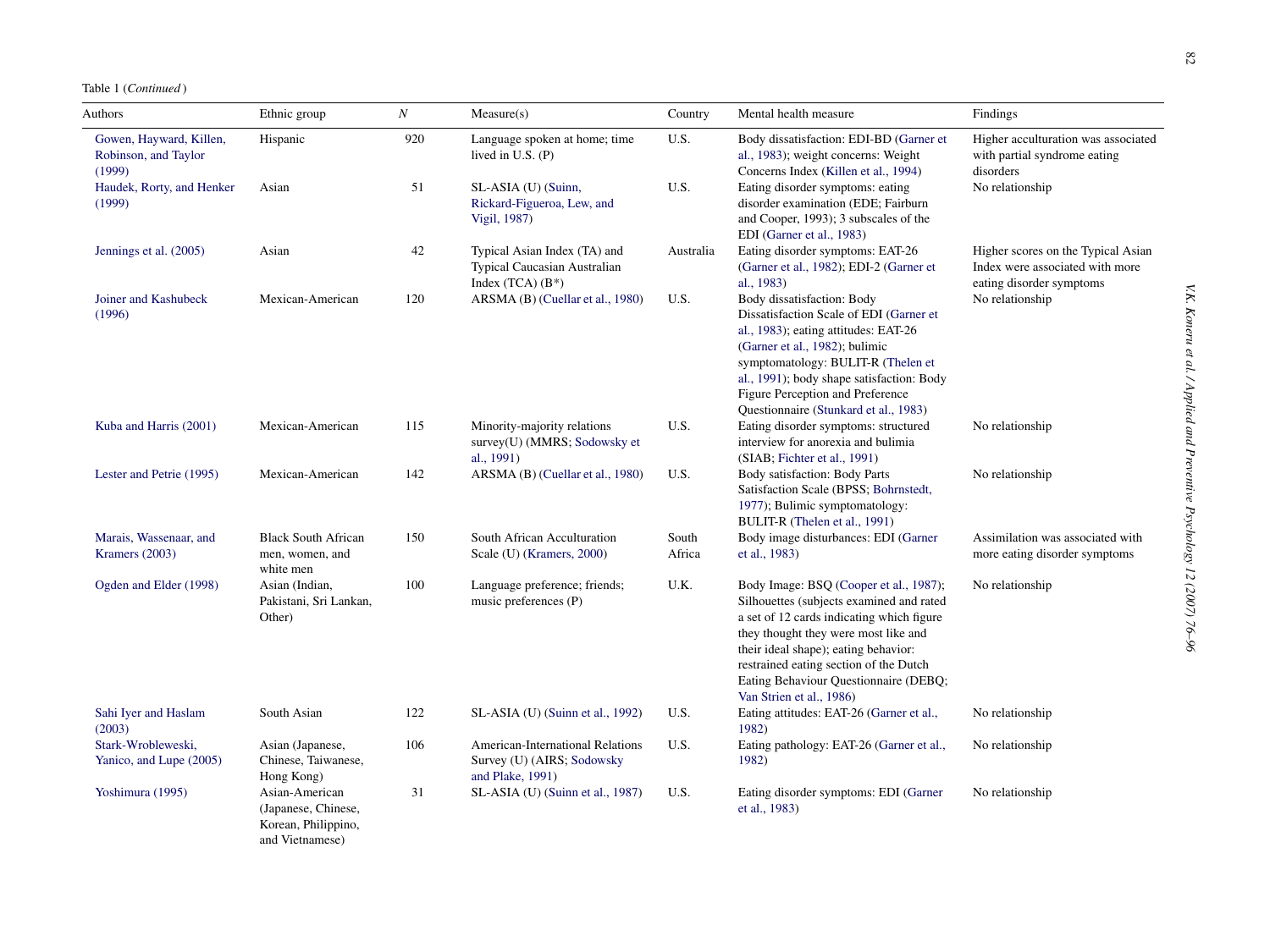and Vietnamese)

| Authors                                                   | Ethnic group                                                 | $\cal N$ | Measure(s)                                                                                | Country         | Mental health measure                                                                                                                                                                                                                                                                                                          | Findings                                                                                          |
|-----------------------------------------------------------|--------------------------------------------------------------|----------|-------------------------------------------------------------------------------------------|-----------------|--------------------------------------------------------------------------------------------------------------------------------------------------------------------------------------------------------------------------------------------------------------------------------------------------------------------------------|---------------------------------------------------------------------------------------------------|
| Gowen, Hayward, Killen,<br>Robinson, and Taylor<br>(1999) | Hispanic                                                     | 920      | Language spoken at home; time<br>lived in U.S. $(P)$                                      | U.S.            | Body dissatisfaction: EDI-BD (Garner et<br>al., 1983); weight concerns: Weight<br>Concerns Index (Killen et al., 1994)                                                                                                                                                                                                         | Higher acculturation was associated<br>with partial syndrome eating<br>disorders                  |
| Haudek, Rorty, and Henker<br>(1999)                       | Asian                                                        | 51       | SL-ASIA (U) (Suinn,<br>Rickard-Figueroa, Lew, and<br>Vigil, 1987)                         | U.S.            | Eating disorder symptoms: eating<br>disorder examination (EDE; Fairburn<br>and Cooper, 1993); 3 subscales of the<br>EDI (Garner et al., 1983)                                                                                                                                                                                  | No relationship                                                                                   |
| Jennings et al. (2005)                                    | Asian                                                        | 42       | Typical Asian Index (TA) and<br>Typical Caucasian Australian<br>Index $(TCA)$ $(B^*)$     | Australia       | Eating disorder symptoms: EAT-26<br>(Garner et al., 1982); EDI-2 (Garner et<br>al., 1983)                                                                                                                                                                                                                                      | Higher scores on the Typical Asian<br>Index were associated with more<br>eating disorder symptoms |
| Joiner and Kashubeck<br>(1996)                            | Mexican-American                                             | 120      | ARSMA (B) (Cuellar et al., 1980)                                                          | U.S.            | Body dissatisfaction: Body<br>Dissatisfaction Scale of EDI (Garner et<br>al., 1983); eating attitudes: EAT-26<br>(Garner et al., 1982); bulimic<br>symptomatology: BULIT-R (Thelen et<br>al., 1991); body shape satisfaction: Body<br>Figure Perception and Preference<br>Questionnaire (Stunkard et al., 1983)                | No relationship                                                                                   |
| Kuba and Harris (2001)                                    | Mexican-American                                             | 115      | Minority-majority relations<br>survey(U) (MMRS; Sodowsky et<br>al., 1991)                 | U.S.            | Eating disorder symptoms: structured<br>interview for anorexia and bulimia<br>(SIAB; Fichter et al., 1991)                                                                                                                                                                                                                     | No relationship                                                                                   |
| Lester and Petrie (1995)                                  | Mexican-American                                             | 142      | ARSMA (B) (Cuellar et al., 1980)                                                          | U.S.            | Body satisfaction: Body Parts<br>Satisfaction Scale (BPSS; Bohrnstedt,<br>1977); Bulimic symptomatology:<br>BULIT-R (Thelen et al., 1991)                                                                                                                                                                                      | No relationship                                                                                   |
| Marais, Wassenaar, and<br>Kramers (2003)                  | <b>Black South African</b><br>men, women, and<br>white men   | 150      | South African Acculturation<br>Scale (U) (Kramers, 2000)                                  | South<br>Africa | Body image disturbances: EDI (Garner<br>et al., 1983)                                                                                                                                                                                                                                                                          | Assimilation was associated with<br>more eating disorder symptoms                                 |
| Ogden and Elder (1998)                                    | Asian (Indian,<br>Pakistani, Sri Lankan,<br>Other)           | 100      | Language preference; friends;<br>music preferences (P)                                    | U.K.            | Body Image: BSQ (Cooper et al., 1987);<br>Silhouettes (subjects examined and rated<br>a set of 12 cards indicating which figure<br>they thought they were most like and<br>their ideal shape); eating behavior:<br>restrained eating section of the Dutch<br>Eating Behaviour Questionnaire (DEBQ;<br>Van Strien et al., 1986) | No relationship                                                                                   |
| Sahi Iyer and Haslam<br>(2003)                            | South Asian                                                  | 122      | SL-ASIA (U) (Suinn et al., 1992)                                                          | U.S.            | Eating attitudes: EAT-26 (Garner et al.,<br>1982)                                                                                                                                                                                                                                                                              | No relationship                                                                                   |
| Stark-Wrobleweski,<br>Yanico, and Lupe (2005)             | Asian (Japanese,<br>Chinese, Taiwanese,<br>Hong Kong)        | 106      | <b>American-International Relations</b><br>Survey (U) (AIRS; Sodowsky<br>and Plake, 1991) | U.S.            | Eating pathology: EAT-26 (Garner et al.,<br>1982)                                                                                                                                                                                                                                                                              | No relationship                                                                                   |
| Yoshimura (1995)                                          | Asian-American<br>(Japanese, Chinese,<br>Korean, Philippino, | 31       | SL-ASIA (U) (Suinn et al., 1987)                                                          | U.S.            | Eating disorder symptoms: EDI (Garner<br>et al., 1983)                                                                                                                                                                                                                                                                         | No relationship                                                                                   |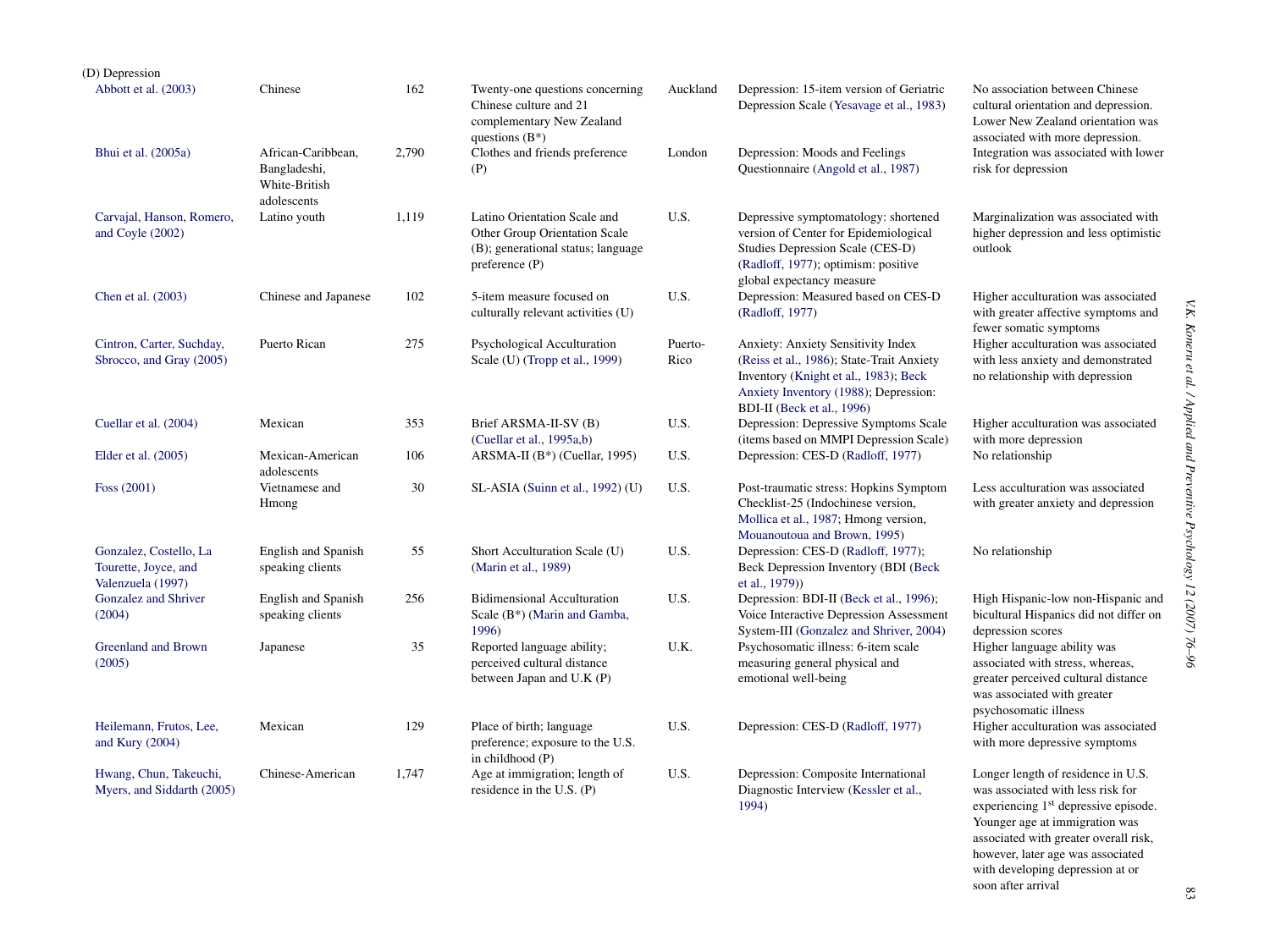| (D) Depression                                                      |                                                                    |       |                                                                                                                                |                 |                                                                                                                                                                                                 |                                                                                                                                                                |
|---------------------------------------------------------------------|--------------------------------------------------------------------|-------|--------------------------------------------------------------------------------------------------------------------------------|-----------------|-------------------------------------------------------------------------------------------------------------------------------------------------------------------------------------------------|----------------------------------------------------------------------------------------------------------------------------------------------------------------|
| Abbott et al. (2003)                                                | Chinese                                                            | 162   | Twenty-one questions concerning<br>Chinese culture and 21<br>complementary New Zealand<br>questions $(B^*)$                    | Auckland        | Depression: 15-item version of Geriatric<br>Depression Scale (Yesavage et al., 1983)                                                                                                            | No association between Chinese<br>cultural orientation and depression.<br>Lower New Zealand orientation was<br>associated with more depression.                |
| Bhui et al. (2005a)                                                 | African-Caribbean,<br>Bangladeshi,<br>White-British<br>adolescents | 2,790 | Clothes and friends preference<br>(P)                                                                                          | London          | Depression: Moods and Feelings<br>Questionnaire (Angold et al., 1987)                                                                                                                           | Integration was associated with lower<br>risk for depression                                                                                                   |
| Carvajal, Hanson, Romero,<br>and Coyle (2002)                       | Latino youth                                                       | 1,119 | Latino Orientation Scale and<br><b>Other Group Orientation Scale</b><br>(B); generational status; language<br>preference $(P)$ | U.S.            | Depressive symptomatology: shortened<br>version of Center for Epidemiological<br>Studies Depression Scale (CES-D)<br>(Radloff, 1977); optimism: positive<br>global expectancy measure           | Marginalization was associated with<br>higher depression and less optimistic<br>outlook                                                                        |
| Chen et al. (2003)                                                  | Chinese and Japanese                                               | 102   | 5-item measure focused on<br>culturally relevant activities (U)                                                                | U.S.            | Depression: Measured based on CES-D<br>(Radloff, 1977)                                                                                                                                          | Higher acculturation was associated<br>with greater affective symptoms and<br>fewer somatic symptoms                                                           |
| Cintron, Carter, Suchday,<br>Sbrocco, and Gray (2005)               | Puerto Rican                                                       | 275   | Psychological Acculturation<br>Scale (U) (Tropp et al., 1999)                                                                  | Puerto-<br>Rico | Anxiety: Anxiety Sensitivity Index<br>(Reiss et al., 1986); State-Trait Anxiety<br>Inventory (Knight et al., 1983); Beck<br>Anxiety Inventory (1988); Depression:<br>BDI-II (Beck et al., 1996) | Higher acculturation was associated<br>with less anxiety and demonstrated<br>no relationship with depression                                                   |
| Cuellar et al. (2004)                                               | Mexican                                                            | 353   | Brief ARSMA-II-SV (B)<br>(Cuellar et al., 1995a,b)                                                                             | U.S.            | Depression: Depressive Symptoms Scale<br>(items based on MMPI Depression Scale)                                                                                                                 | Higher acculturation was associated<br>with more depression                                                                                                    |
| Elder et al. (2005)                                                 | Mexican-American<br>adolescents                                    | 106   | ARSMA-II (B*) (Cuellar, 1995)                                                                                                  | U.S.            | Depression: CES-D (Radloff, 1977)                                                                                                                                                               | No relationship                                                                                                                                                |
| Foss (2001)                                                         | Vietnamese and<br>Hmong                                            | 30    | SL-ASIA (Suinn et al., 1992) (U)                                                                                               | U.S.            | Post-traumatic stress: Hopkins Symptom<br>Checklist-25 (Indochinese version,<br>Mollica et al., 1987; Hmong version,<br>Mouanoutoua and Brown, 1995)                                            | Less acculturation was associated<br>with greater anxiety and depression                                                                                       |
| Gonzalez, Costello, La<br>Tourette, Joyce, and<br>Valenzuela (1997) | <b>English and Spanish</b><br>speaking clients                     | 55    | Short Acculturation Scale (U)<br>(Marin et al., 1989)                                                                          | U.S.            | Depression: CES-D (Radloff, 1977);<br>Beck Depression Inventory (BDI (Beck<br>et al., 1979))                                                                                                    | No relationship                                                                                                                                                |
| Gonzalez and Shriver<br>(2004)                                      | English and Spanish<br>speaking clients                            | 256   | <b>Bidimensional Acculturation</b><br>Scale (B*) (Marin and Gamba,<br>1996)                                                    | U.S.            | Depression: BDI-II (Beck et al., 1996);<br>Voice Interactive Depression Assessment<br>System-III (Gonzalez and Shriver, 2004)                                                                   | High Hispanic-low non-Hispanic and<br>bicultural Hispanics did not differ on<br>depression scores                                                              |
| Greenland and Brown<br>(2005)                                       | Japanese                                                           | 35    | Reported language ability;<br>perceived cultural distance<br>between Japan and U.K (P)                                         | U.K.            | Psychosomatic illness: 6-item scale<br>measuring general physical and<br>emotional well-being                                                                                                   | Higher language ability was<br>associated with stress, whereas,<br>greater perceived cultural distance<br>was associated with greater<br>psychosomatic illness |
| Heilemann, Frutos, Lee,<br>and Kury (2004)                          | Mexican                                                            | 129   | Place of birth; language<br>preference; exposure to the U.S.<br>in childhood (P)                                               | U.S.            | Depression: CES-D (Radloff, 1977)                                                                                                                                                               | Higher acculturation was associated<br>with more depressive symptoms                                                                                           |
| Hwang, Chun, Takeuchi,<br>Myers, and Siddarth (2005)                | Chinese-American                                                   | 1,747 | Age at immigration; length of<br>residence in the U.S. $(P)$                                                                   | U.S.            | Depression: Composite International<br>Diagnostic Interview (Kessler et al.,<br>1994)                                                                                                           | Longer length of residence in U.S.<br>was associated with less risk for<br>experiencing 1 <sup>st</sup> depressive episode.                                    |

Younger age at immigration was associated with greater overall risk, however, later age was associated with developing depression at or

soon after arrival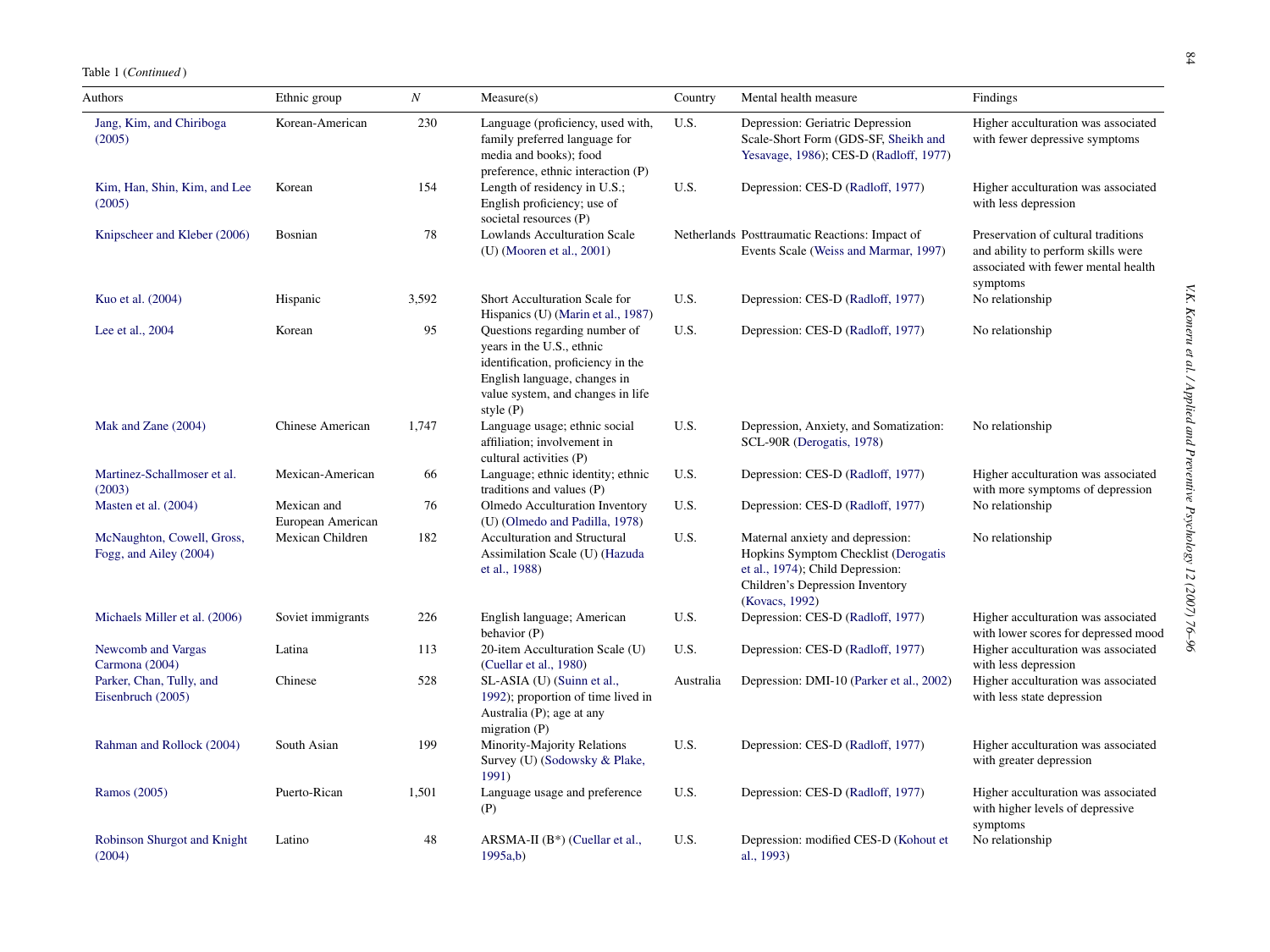| Authors                                              | Ethnic group                     | $\boldsymbol{N}$ | Measure(s)                                                                                                                                                                           | Country   | Mental health measure                                                                                                                                             | Findings                                                                                                                     |
|------------------------------------------------------|----------------------------------|------------------|--------------------------------------------------------------------------------------------------------------------------------------------------------------------------------------|-----------|-------------------------------------------------------------------------------------------------------------------------------------------------------------------|------------------------------------------------------------------------------------------------------------------------------|
| Jang, Kim, and Chiriboga<br>(2005)                   | Korean-American                  | 230              | Language (proficiency, used with,<br>family preferred language for<br>media and books); food<br>preference, ethnic interaction (P)                                                   | U.S.      | Depression: Geriatric Depression<br>Scale-Short Form (GDS-SF, Sheikh and<br>Yesavage, 1986); CES-D (Radloff, 1977)                                                | Higher acculturation was associated<br>with fewer depressive symptoms                                                        |
| Kim, Han, Shin, Kim, and Lee<br>(2005)               | Korean                           | 154              | Length of residency in U.S.;<br>English proficiency; use of<br>societal resources (P)                                                                                                | U.S.      | Depression: CES-D (Radloff, 1977)                                                                                                                                 | Higher acculturation was associated<br>with less depression                                                                  |
| Knipscheer and Kleber (2006)                         | <b>Bosnian</b>                   | 78               | Lowlands Acculturation Scale<br>$(U)$ (Mooren et al., 2001)                                                                                                                          |           | Netherlands Posttraumatic Reactions: Impact of<br>Events Scale (Weiss and Marmar, 1997)                                                                           | Preservation of cultural traditions<br>and ability to perform skills were<br>associated with fewer mental health<br>symptoms |
| Kuo et al. (2004)                                    | Hispanic                         | 3,592            | Short Acculturation Scale for<br>Hispanics (U) (Marin et al., 1987)                                                                                                                  | U.S.      | Depression: CES-D (Radloff, 1977)                                                                                                                                 | No relationship                                                                                                              |
| Lee et al., 2004                                     | Korean                           | 95               | Questions regarding number of<br>years in the U.S., ethnic<br>identification, proficiency in the<br>English language, changes in<br>value system, and changes in life<br>style $(P)$ | U.S.      | Depression: CES-D (Radloff, 1977)                                                                                                                                 | No relationship                                                                                                              |
| Mak and Zane (2004)                                  | Chinese American                 | 1,747            | Language usage; ethnic social<br>affiliation; involvement in<br>cultural activities (P)                                                                                              | U.S.      | Depression, Anxiety, and Somatization:<br>SCL-90R (Derogatis, 1978)                                                                                               | No relationship                                                                                                              |
| Martinez-Schallmoser et al.<br>(2003)                | Mexican-American                 | 66               | Language; ethnic identity; ethnic<br>traditions and values (P)                                                                                                                       | U.S.      | Depression: CES-D (Radloff, 1977)                                                                                                                                 | Higher acculturation was associated<br>with more symptoms of depression                                                      |
| Masten et al. (2004)                                 | Mexican and<br>European American | 76               | Olmedo Acculturation Inventory<br>(U) (Olmedo and Padilla, 1978)                                                                                                                     | U.S.      | Depression: CES-D (Radloff, 1977)                                                                                                                                 | No relationship                                                                                                              |
| McNaughton, Cowell, Gross,<br>Fogg, and Ailey (2004) | Mexican Children                 | 182              | <b>Acculturation and Structural</b><br>Assimilation Scale (U) (Hazuda<br>et al., 1988)                                                                                               | U.S.      | Maternal anxiety and depression:<br>Hopkins Symptom Checklist (Derogatis<br>et al., 1974); Child Depression:<br>Children's Depression Inventory<br>(Kovacs, 1992) | No relationship                                                                                                              |
| Michaels Miller et al. (2006)                        | Soviet immigrants                | 226              | English language; American<br>behavior (P)                                                                                                                                           | U.S.      | Depression: CES-D (Radloff, 1977)                                                                                                                                 | Higher acculturation was associated<br>with lower scores for depressed mood                                                  |
| Newcomb and Vargas<br>Carmona (2004)                 | Latina                           | 113              | 20-item Acculturation Scale (U)<br>(Cuellar et al., 1980)                                                                                                                            | U.S.      | Depression: CES-D (Radloff, 1977)                                                                                                                                 | Higher acculturation was associated<br>with less depression                                                                  |
| Parker, Chan, Tully, and<br>Eisenbruch (2005)        | Chinese                          | 528              | SL-ASIA (U) (Suinn et al.,<br>1992); proportion of time lived in<br>Australia (P); age at any<br>migration $(P)$                                                                     | Australia | Depression: DMI-10 (Parker et al., 2002)                                                                                                                          | Higher acculturation was associated<br>with less state depression                                                            |
| Rahman and Rollock (2004)                            | South Asian                      | 199              | Minority-Majority Relations<br>Survey (U) (Sodowsky & Plake,<br>1991)                                                                                                                | U.S.      | Depression: CES-D (Radloff, 1977)                                                                                                                                 | Higher acculturation was associated<br>with greater depression                                                               |
| Ramos (2005)                                         | Puerto-Rican                     | 1,501            | Language usage and preference<br>(P)                                                                                                                                                 | U.S.      | Depression: CES-D (Radloff, 1977)                                                                                                                                 | Higher acculturation was associated<br>with higher levels of depressive<br>symptoms                                          |
| Robinson Shurgot and Knight<br>(2004)                | Latino                           | 48               | ARSMA-II (B <sup>*</sup> ) (Cuellar et al.,<br>1995a,b)                                                                                                                              | U.S.      | Depression: modified CES-D (Kohout et<br>al., 1993)                                                                                                               | No relationship                                                                                                              |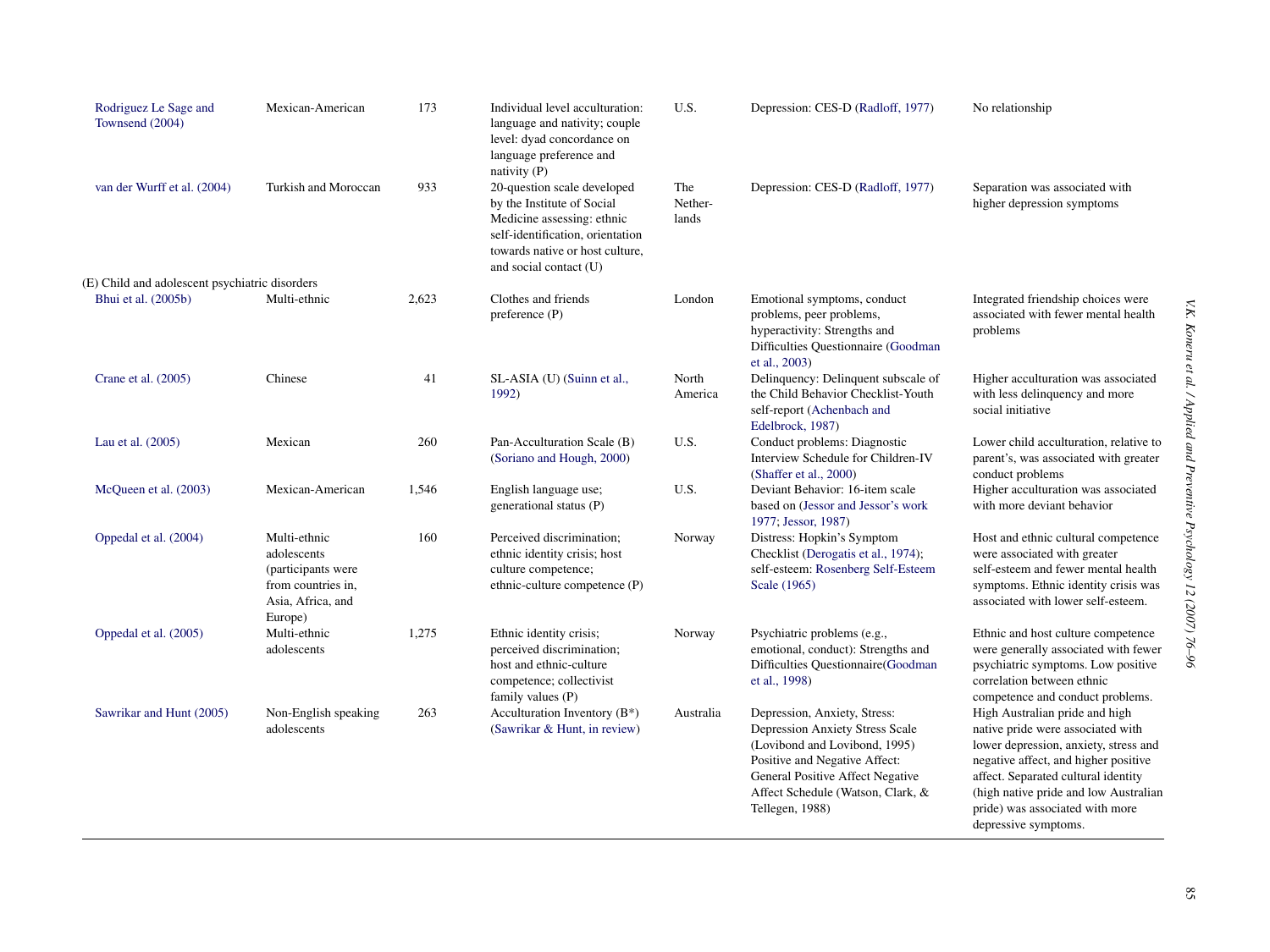| Rodriguez Le Sage and<br>Townsend (2004)       | Mexican-American                                                                                        | 173   | Individual level acculturation:<br>language and nativity; couple<br>level: dyad concordance on<br>language preference and<br>nativity (P)                                                | U.S.                    | Depression: CES-D (Radloff, 1977)                                                                                                                                                                                                    | No relationship                                                                                                                                                                                                                                                                                 |
|------------------------------------------------|---------------------------------------------------------------------------------------------------------|-------|------------------------------------------------------------------------------------------------------------------------------------------------------------------------------------------|-------------------------|--------------------------------------------------------------------------------------------------------------------------------------------------------------------------------------------------------------------------------------|-------------------------------------------------------------------------------------------------------------------------------------------------------------------------------------------------------------------------------------------------------------------------------------------------|
| van der Wurff et al. (2004)                    | Turkish and Moroccan                                                                                    | 933   | 20-question scale developed<br>by the Institute of Social<br>Medicine assessing: ethnic<br>self-identification, orientation<br>towards native or host culture,<br>and social contact (U) | The<br>Nether-<br>lands | Depression: CES-D (Radloff, 1977)                                                                                                                                                                                                    | Separation was associated with<br>higher depression symptoms                                                                                                                                                                                                                                    |
| (E) Child and adolescent psychiatric disorders |                                                                                                         |       |                                                                                                                                                                                          |                         |                                                                                                                                                                                                                                      |                                                                                                                                                                                                                                                                                                 |
| Bhui et al. (2005b)                            | Multi-ethnic                                                                                            | 2,623 | Clothes and friends<br>preference (P)                                                                                                                                                    | London                  | Emotional symptoms, conduct<br>problems, peer problems,<br>hyperactivity: Strengths and<br>Difficulties Questionnaire (Goodman<br>et al., 2003)                                                                                      | Integrated friendship choices were<br>associated with fewer mental health<br>problems                                                                                                                                                                                                           |
| Crane et al. (2005)                            | Chinese                                                                                                 | 41    | SL-ASIA (U) (Suinn et al.,<br>1992)                                                                                                                                                      | North<br>America        | Delinquency: Delinquent subscale of<br>the Child Behavior Checklist-Youth<br>self-report (Achenbach and<br>Edelbrock, 1987)                                                                                                          | Higher acculturation was associated<br>with less delinquency and more<br>social initiative                                                                                                                                                                                                      |
| Lau et al. (2005)                              | Mexican                                                                                                 | 260   | Pan-Acculturation Scale (B)<br>(Soriano and Hough, 2000)                                                                                                                                 | U.S.                    | Conduct problems: Diagnostic<br>Interview Schedule for Children-IV<br>(Shaffer et al., 2000)                                                                                                                                         | Lower child acculturation, relative to<br>parent's, was associated with greater<br>conduct problems                                                                                                                                                                                             |
| McQueen et al. (2003)                          | Mexican-American                                                                                        | 1,546 | English language use;<br>generational status (P)                                                                                                                                         | U.S.                    | Deviant Behavior: 16-item scale<br>based on (Jessor and Jessor's work<br>1977; Jessor, 1987)                                                                                                                                         | Higher acculturation was associated<br>with more deviant behavior                                                                                                                                                                                                                               |
| Oppedal et al. (2004)                          | Multi-ethnic<br>adolescents<br>(participants were<br>from countries in,<br>Asia, Africa, and<br>Europe) | 160   | Perceived discrimination;<br>ethnic identity crisis; host<br>culture competence;<br>ethnic-culture competence (P)                                                                        | Norway                  | Distress: Hopkin's Symptom<br>Checklist (Derogatis et al., 1974);<br>self-esteem: Rosenberg Self-Esteem<br>Scale (1965)                                                                                                              | Host and ethnic cultural competence<br>were associated with greater<br>self-esteem and fewer mental health<br>symptoms. Ethnic identity crisis was<br>associated with lower self-esteem.                                                                                                        |
| Oppedal et al. (2005)                          | Multi-ethnic<br>adolescents                                                                             | 1,275 | Ethnic identity crisis;<br>perceived discrimination;<br>host and ethnic-culture<br>competence; collectivist<br>family values (P)                                                         | Norway                  | Psychiatric problems (e.g.,<br>emotional, conduct): Strengths and<br>Difficulties Questionnaire(Goodman<br>et al., 1998)                                                                                                             | Ethnic and host culture competence<br>were generally associated with fewer<br>psychiatric symptoms. Low positive<br>correlation between ethnic<br>competence and conduct problems.                                                                                                              |
| Sawrikar and Hunt (2005)                       | Non-English speaking<br>adolescents                                                                     | 263   | Acculturation Inventory (B*)<br>(Sawrikar & Hunt, in review)                                                                                                                             | Australia               | Depression, Anxiety, Stress:<br><b>Depression Anxiety Stress Scale</b><br>(Lovibond and Lovibond, 1995)<br>Positive and Negative Affect:<br>General Positive Affect Negative<br>Affect Schedule (Watson, Clark, &<br>Tellegen, 1988) | High Australian pride and high<br>native pride were associated with<br>lower depression, anxiety, stress and<br>negative affect, and higher positive<br>affect. Separated cultural identity<br>(high native pride and low Australian<br>pride) was associated with more<br>depressive symptoms. |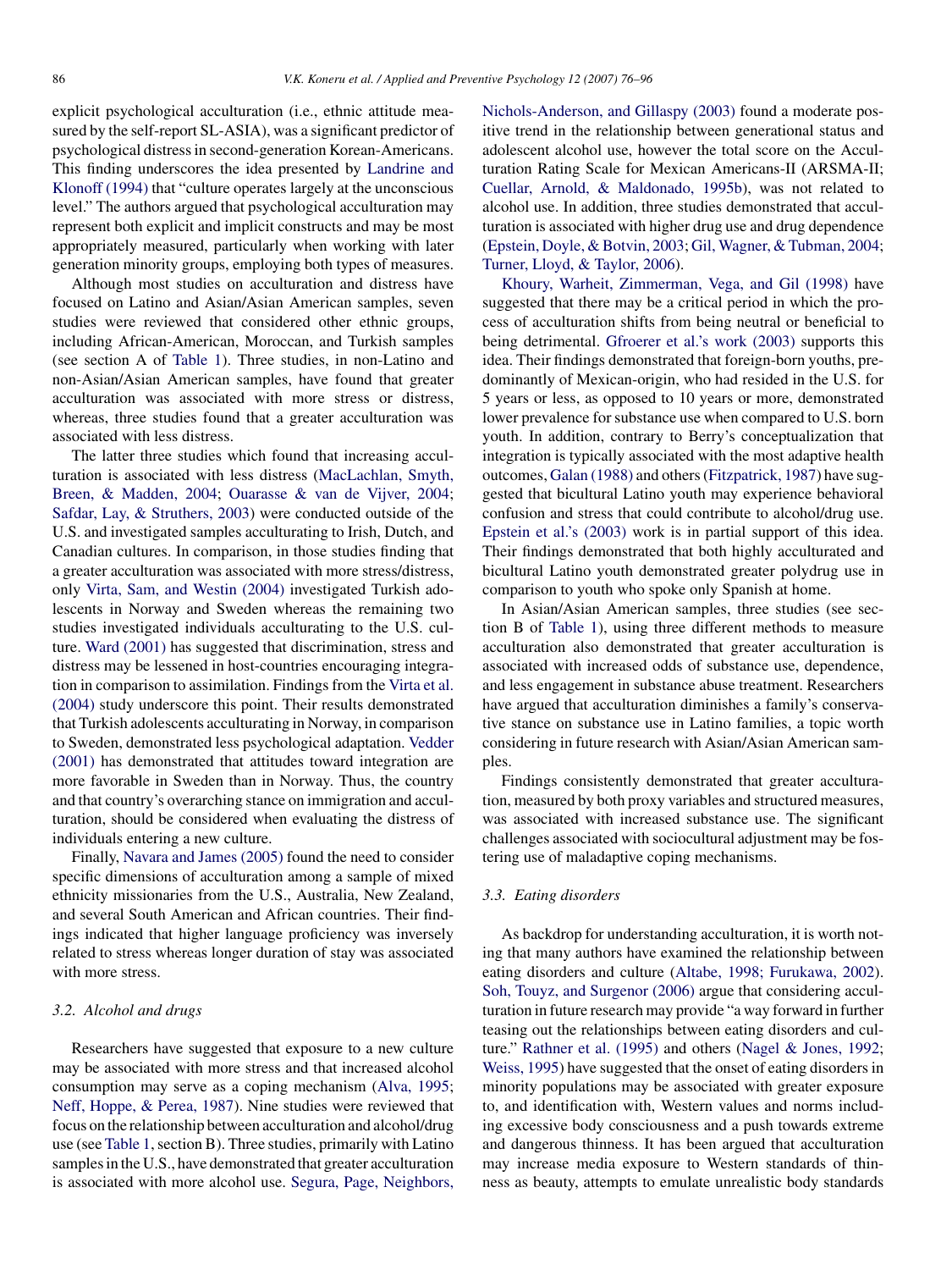explicit psychological acculturation (i.e., ethnic attitude measured by the self-report SL-ASIA), was a significant predictor of psychological distress in second-generation Korean-Americans. This finding underscores the idea presented by [Landrine and](#page-18-0) [Klonoff \(1994\)](#page-18-0) that "culture operates largely at the unconscious level." The authors argued that psychological acculturation may represent both explicit and implicit constructs and may be most appropriately measured, particularly when working with later generation minority groups, employing both types of measures.

Although most studies on acculturation and distress have focused on Latino and Asian/Asian American samples, seven studies were reviewed that considered other ethnic groups, including African-American, Moroccan, and Turkish samples (see section A of [Table 1\)](#page-3-0). Three studies, in non-Latino and non-Asian/Asian American samples, have found that greater acculturation was associated with more stress or distress, whereas, three studies found that a greater acculturation was associated with less distress.

The latter three studies which found that increasing acculturation is associated with less distress [\(MacLachlan, Smyth,](#page-18-0) [Breen, & Madden, 2004;](#page-18-0) [Ouarasse & van de Vijver, 2004;](#page-18-0) [Safdar, Lay, & Struthers, 2003\)](#page-19-0) were conducted outside of the U.S. and investigated samples acculturating to Irish, Dutch, and Canadian cultures. In comparison, in those studies finding that a greater acculturation was associated with more stress/distress, only [Virta, Sam, and Westin \(2004\)](#page-20-0) investigated Turkish adolescents in Norway and Sweden whereas the remaining two studies investigated individuals acculturating to the U.S. culture. [Ward \(2001\)](#page-20-0) has suggested that discrimination, stress and distress may be lessened in host-countries encouraging integration in comparison to assimilation. Findings from the [Virta et al.](#page-20-0) [\(2004\)](#page-20-0) study underscore this point. Their results demonstrated that Turkish adolescents acculturating in Norway, in comparison to Sweden, demonstrated less psychological adaptation. [Vedder](#page-20-0) [\(2001\)](#page-20-0) has demonstrated that attitudes toward integration are more favorable in Sweden than in Norway. Thus, the country and that country's overarching stance on immigration and acculturation, should be considered when evaluating the distress of individuals entering a new culture.

Finally, [Navara and James \(2005\)](#page-18-0) found the need to consider specific dimensions of acculturation among a sample of mixed ethnicity missionaries from the U.S., Australia, New Zealand, and several South American and African countries. Their findings indicated that higher language proficiency was inversely related to stress whereas longer duration of stay was associated with more stress.

#### *3.2. Alcohol and drugs*

Researchers have suggested that exposure to a new culture may be associated with more stress and that increased alcohol consumption may serve as a coping mechanism ([Alva, 1995;](#page-15-0) [Neff, Hoppe, & Perea, 1987\).](#page-18-0) Nine studies were reviewed that focus on the relationship between acculturation and alcohol/drug use (see [Table 1, s](#page-3-0)ection B). Three studies, primarily with Latino samples in the U.S., have demonstrated that greater acculturation is associated with more alcohol use. [Segura, Page, Neighbors,](#page-19-0) [Nichols-Anderson, and Gillaspy \(2003\)](#page-19-0) found a moderate positive trend in the relationship between generational status and adolescent alcohol use, however the total score on the Acculturation Rating Scale for Mexican Americans-II (ARSMA-II; [Cuellar, Arnold, & Maldonado, 1995b\),](#page-16-0) was not related to alcohol use. In addition, three studies demonstrated that acculturation is associated with higher drug use and drug dependence [\(Epstein, Doyle, & Botvin, 2003;](#page-16-0) [Gil, Wagner, & Tubman, 2004;](#page-17-0) [Turner, Lloyd, & Taylor, 2006\).](#page-20-0)

[Khoury, Warheit, Zimmerman, Vega, and Gil \(1998\)](#page-17-0) have suggested that there may be a critical period in which the process of acculturation shifts from being neutral or beneficial to being detrimental. [Gfroerer et al.'s work \(2003\)](#page-16-0) supports this idea. Their findings demonstrated that foreign-born youths, predominantly of Mexican-origin, who had resided in the U.S. for 5 years or less, as opposed to 10 years or more, demonstrated lower prevalence for substance use when compared to U.S. born youth. In addition, contrary to Berry's conceptualization that integration is typically associated with the most adaptive health outcomes, [Galan \(1988\)](#page-16-0) and others [\(Fitzpatrick, 1987\) h](#page-16-0)ave suggested that bicultural Latino youth may experience behavioral confusion and stress that could contribute to alcohol/drug use. [Epstein et al.'s \(2003\)](#page-16-0) work is in partial support of this idea. Their findings demonstrated that both highly acculturated and bicultural Latino youth demonstrated greater polydrug use in comparison to youth who spoke only Spanish at home.

In Asian/Asian American samples, three studies (see section B of [Table 1\),](#page-3-0) using three different methods to measure acculturation also demonstrated that greater acculturation is associated with increased odds of substance use, dependence, and less engagement in substance abuse treatment. Researchers have argued that acculturation diminishes a family's conservative stance on substance use in Latino families, a topic worth considering in future research with Asian/Asian American samples.

Findings consistently demonstrated that greater acculturation, measured by both proxy variables and structured measures, was associated with increased substance use. The significant challenges associated with sociocultural adjustment may be fostering use of maladaptive coping mechanisms.

#### *3.3. Eating disorders*

As backdrop for understanding acculturation, it is worth noting that many authors have examined the relationship between eating disorders and culture [\(Altabe, 1998; Furukawa, 2002\).](#page-15-0) [Soh, Touyz, and Surgenor \(2006\)](#page-19-0) argue that considering acculturation in future research may provide "a way forward in further teasing out the relationships between eating disorders and culture." [Rathner et al. \(1995\)](#page-19-0) and others ([Nagel & Jones, 1992;](#page-18-0) [Weiss, 1995\) h](#page-20-0)ave suggested that the onset of eating disorders in minority populations may be associated with greater exposure to, and identification with, Western values and norms including excessive body consciousness and a push towards extreme and dangerous thinness. It has been argued that acculturation may increase media exposure to Western standards of thinness as beauty, attempts to emulate unrealistic body standards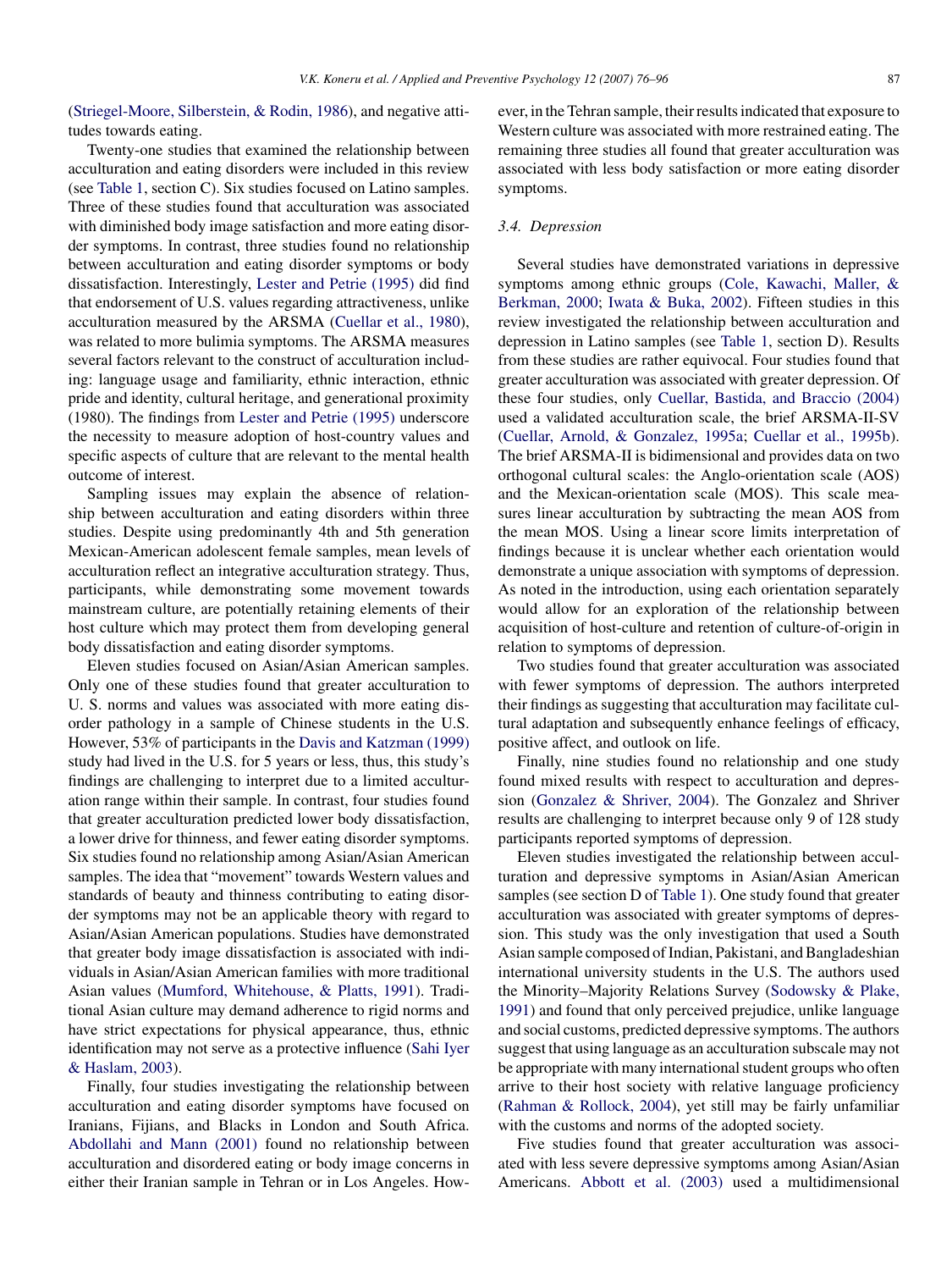([Striegel-Moore, Silberstein, & Rodin, 1986\),](#page-19-0) and negative attitudes towards eating.

Twenty-one studies that examined the relationship between acculturation and eating disorders were included in this review (see [Table 1, s](#page-3-0)ection C). Six studies focused on Latino samples. Three of these studies found that acculturation was associated with diminished body image satisfaction and more eating disorder symptoms. In contrast, three studies found no relationship between acculturation and eating disorder symptoms or body dissatisfaction. Interestingly, [Lester and Petrie \(1995\)](#page-18-0) did find that endorsement of U.S. values regarding attractiveness, unlike acculturation measured by the ARSMA ([Cuellar et al., 1980\),](#page-16-0) was related to more bulimia symptoms. The ARSMA measures several factors relevant to the construct of acculturation including: language usage and familiarity, ethnic interaction, ethnic pride and identity, cultural heritage, and generational proximity (1980). The findings from [Lester and Petrie \(1995\)](#page-18-0) underscore the necessity to measure adoption of host-country values and specific aspects of culture that are relevant to the mental health outcome of interest.

Sampling issues may explain the absence of relationship between acculturation and eating disorders within three studies. Despite using predominantly 4th and 5th generation Mexican-American adolescent female samples, mean levels of acculturation reflect an integrative acculturation strategy. Thus, participants, while demonstrating some movement towards mainstream culture, are potentially retaining elements of their host culture which may protect them from developing general body dissatisfaction and eating disorder symptoms.

Eleven studies focused on Asian/Asian American samples. Only one of these studies found that greater acculturation to U. S. norms and values was associated with more eating disorder pathology in a sample of Chinese students in the U.S. However, 53% of participants in the [Davis and Katzman \(1999\)](#page-16-0) study had lived in the U.S. for 5 years or less, thus, this study's findings are challenging to interpret due to a limited acculturation range within their sample. In contrast, four studies found that greater acculturation predicted lower body dissatisfaction, a lower drive for thinness, and fewer eating disorder symptoms. Six studies found no relationship among Asian/Asian American samples. The idea that "movement" towards Western values and standards of beauty and thinness contributing to eating disorder symptoms may not be an applicable theory with regard to Asian/Asian American populations. Studies have demonstrated that greater body image dissatisfaction is associated with individuals in Asian/Asian American families with more traditional Asian values ([Mumford, Whitehouse, & Platts, 1991\).](#page-17-0) Traditional Asian culture may demand adherence to rigid norms and have strict expectations for physical appearance, thus, ethnic identification may not serve as a protective influence [\(Sahi Iyer](#page-19-0) [& Haslam, 2003\).](#page-19-0)

Finally, four studies investigating the relationship between acculturation and eating disorder symptoms have focused on Iranians, Fijians, and Blacks in London and South Africa. [Abdollahi and Mann \(2001\)](#page-15-0) found no relationship between acculturation and disordered eating or body image concerns in either their Iranian sample in Tehran or in Los Angeles. However, in the Tehran sample, their results indicated that exposure to Western culture was associated with more restrained eating. The remaining three studies all found that greater acculturation was associated with less body satisfaction or more eating disorder symptoms.

## *3.4. Depression*

Several studies have demonstrated variations in depressive symptoms among ethnic groups [\(Cole, Kawachi, Maller, &](#page-16-0) [Berkman, 2000;](#page-16-0) [Iwata & Buka, 2002\).](#page-17-0) Fifteen studies in this review investigated the relationship between acculturation and depression in Latino samples (see [Table 1,](#page-3-0) section D). Results from these studies are rather equivocal. Four studies found that greater acculturation was associated with greater depression. Of these four studies, only [Cuellar, Bastida, and Braccio \(2004\)](#page-16-0) used a validated acculturation scale, the brief ARSMA-II-SV ([Cuellar, Arnold, & Gonzalez, 1995a;](#page-16-0) [Cuellar et al., 1995b\).](#page-16-0) The brief ARSMA-II is bidimensional and provides data on two orthogonal cultural scales: the Anglo-orientation scale (AOS) and the Mexican-orientation scale (MOS). This scale measures linear acculturation by subtracting the mean AOS from the mean MOS. Using a linear score limits interpretation of findings because it is unclear whether each orientation would demonstrate a unique association with symptoms of depression. As noted in the introduction, using each orientation separately would allow for an exploration of the relationship between acquisition of host-culture and retention of culture-of-origin in relation to symptoms of depression.

Two studies found that greater acculturation was associated with fewer symptoms of depression. The authors interpreted their findings as suggesting that acculturation may facilitate cultural adaptation and subsequently enhance feelings of efficacy, positive affect, and outlook on life.

Finally, nine studies found no relationship and one study found mixed results with respect to acculturation and depression ([Gonzalez & Shriver, 2004\).](#page-17-0) The Gonzalez and Shriver results are challenging to interpret because only 9 of 128 study participants reported symptoms of depression.

Eleven studies investigated the relationship between acculturation and depressive symptoms in Asian/Asian American samples (see section D of [Table 1\).](#page-3-0) One study found that greater acculturation was associated with greater symptoms of depression. This study was the only investigation that used a South Asian sample composed of Indian, Pakistani, and Bangladeshian international university students in the U.S. The authors used the Minority–Majority Relations Survey [\(Sodowsky & Plake,](#page-19-0) [1991\)](#page-19-0) and found that only perceived prejudice, unlike language and social customs, predicted depressive symptoms. The authors suggest that using language as an acculturation subscale may not be appropriate with many international student groups who often arrive to their host society with relative language proficiency ([Rahman & Rollock, 2004\),](#page-19-0) yet still may be fairly unfamiliar with the customs and norms of the adopted society.

Five studies found that greater acculturation was associated with less severe depressive symptoms among Asian/Asian Americans. [Abbott et al. \(2003\)](#page-15-0) used a multidimensional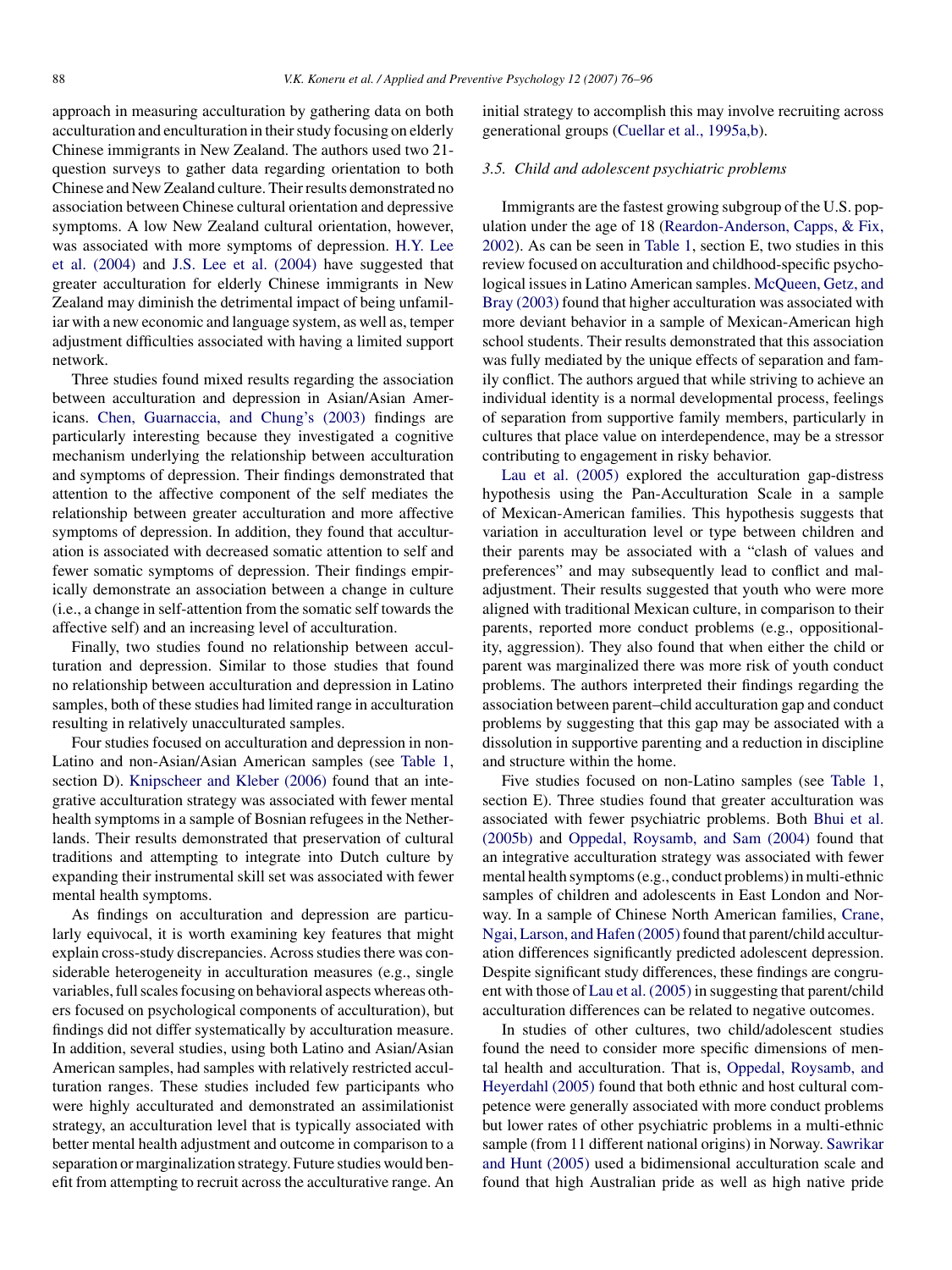<span id="page-12-0"></span>approach in measuring acculturation by gathering data on both acculturation and enculturation in their study focusing on elderly Chinese immigrants in New Zealand. The authors used two 21 question surveys to gather data regarding orientation to both Chinese and New Zealand culture. Their results demonstrated no association between Chinese cultural orientation and depressive symptoms. A low New Zealand cultural orientation, however, was associated with more symptoms of depression. [H.Y. Lee](#page-18-0) [et al. \(2004\)](#page-18-0) and [J.S. Lee et al. \(2004\)](#page-18-0) have suggested that greater acculturation for elderly Chinese immigrants in New Zealand may diminish the detrimental impact of being unfamiliar with a new economic and language system, as well as, temper adjustment difficulties associated with having a limited support network.

Three studies found mixed results regarding the association between acculturation and depression in Asian/Asian Americans. [Chen, Guarnaccia, and Chung's \(2003\)](#page-16-0) findings are particularly interesting because they investigated a cognitive mechanism underlying the relationship between acculturation and symptoms of depression. Their findings demonstrated that attention to the affective component of the self mediates the relationship between greater acculturation and more affective symptoms of depression. In addition, they found that acculturation is associated with decreased somatic attention to self and fewer somatic symptoms of depression. Their findings empirically demonstrate an association between a change in culture (i.e., a change in self-attention from the somatic self towards the affective self) and an increasing level of acculturation.

Finally, two studies found no relationship between acculturation and depression. Similar to those studies that found no relationship between acculturation and depression in Latino samples, both of these studies had limited range in acculturation resulting in relatively unacculturated samples.

Four studies focused on acculturation and depression in non-Latino and non-Asian/Asian American samples (see [Table 1,](#page-3-0) section D). [Knipscheer and Kleber \(2006\)](#page-17-0) found that an integrative acculturation strategy was associated with fewer mental health symptoms in a sample of Bosnian refugees in the Netherlands. Their results demonstrated that preservation of cultural traditions and attempting to integrate into Dutch culture by expanding their instrumental skill set was associated with fewer mental health symptoms.

As findings on acculturation and depression are particularly equivocal, it is worth examining key features that might explain cross-study discrepancies. Across studies there was considerable heterogeneity in acculturation measures (e.g., single variables, full scales focusing on behavioral aspects whereas others focused on psychological components of acculturation), but findings did not differ systematically by acculturation measure. In addition, several studies, using both Latino and Asian/Asian American samples, had samples with relatively restricted acculturation ranges. These studies included few participants who were highly acculturated and demonstrated an assimilationist strategy, an acculturation level that is typically associated with better mental health adjustment and outcome in comparison to a separation or marginalization strategy. Future studies would benefit from attempting to recruit across the acculturative range. An initial strategy to accomplish this may involve recruiting across generational groups [\(Cuellar et al., 1995a,b\).](#page-16-0)

## *3.5. Child and adolescent psychiatric problems*

Immigrants are the fastest growing subgroup of the U.S. population under the age of 18 ([Reardon-Anderson, Capps, & Fix,](#page-19-0) [2002\).](#page-19-0) As can be seen in [Table 1,](#page-3-0) section E, two studies in this review focused on acculturation and childhood-specific psychological issues in Latino American samples. [McQueen, Getz, and](#page-18-0) [Bray \(2003\)](#page-18-0) found that higher acculturation was associated with more deviant behavior in a sample of Mexican-American high school students. Their results demonstrated that this association was fully mediated by the unique effects of separation and family conflict. The authors argued that while striving to achieve an individual identity is a normal developmental process, feelings of separation from supportive family members, particularly in cultures that place value on interdependence, may be a stressor contributing to engagement in risky behavior.

[Lau et al. \(2005\)](#page-18-0) explored the acculturation gap-distress hypothesis using the Pan-Acculturation Scale in a sample of Mexican-American families. This hypothesis suggests that variation in acculturation level or type between children and their parents may be associated with a "clash of values and preferences" and may subsequently lead to conflict and maladjustment. Their results suggested that youth who were more aligned with traditional Mexican culture, in comparison to their parents, reported more conduct problems (e.g., oppositionality, aggression). They also found that when either the child or parent was marginalized there was more risk of youth conduct problems. The authors interpreted their findings regarding the association between parent–child acculturation gap and conduct problems by suggesting that this gap may be associated with a dissolution in supportive parenting and a reduction in discipline and structure within the home.

Five studies focused on non-Latino samples (see [Table 1,](#page-3-0) section E). Three studies found that greater acculturation was associated with fewer psychiatric problems. Both [Bhui et al.](#page-15-0) [\(2005b\)](#page-15-0) and [Oppedal, Roysamb, and Sam \(2004\)](#page-18-0) found that an integrative acculturation strategy was associated with fewer mental health symptoms (e.g., conduct problems) in multi-ethnic samples of children and adolescents in East London and Norway. In a sample of Chinese North American families, [Crane,](#page-16-0) Ngai, Larson, and Hafen (2005) found that parent/child acculturation differences significantly predicted adolescent depression. Despite significant study differences, these findings are congruent with those of [Lau et al. \(2005\)](#page-18-0) in suggesting that parent/child acculturation differences can be related to negative outcomes.

In studies of other cultures, two child/adolescent studies found the need to consider more specific dimensions of mental health and acculturation. That is, [Oppedal, Roysamb, and](#page-18-0) [Heyerdahl \(2005\)](#page-18-0) found that both ethnic and host cultural competence were generally associated with more conduct problems but lower rates of other psychiatric problems in a multi-ethnic sample (from 11 different national origins) in Norway. [Sawrikar](#page-19-0) [and Hunt \(2005\)](#page-19-0) used a bidimensional acculturation scale and found that high Australian pride as well as high native pride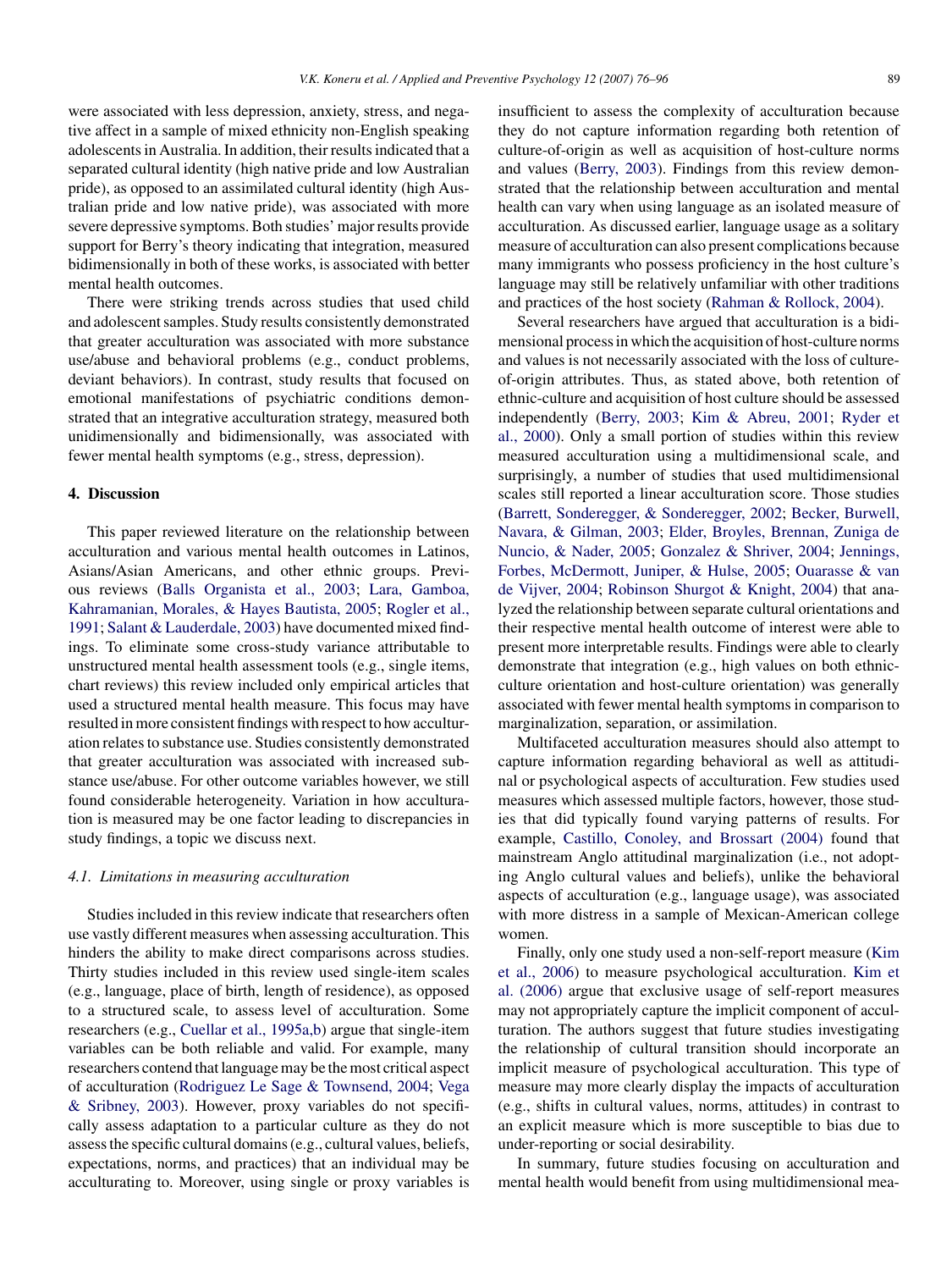were associated with less depression, anxiety, stress, and negative affect in a sample of mixed ethnicity non-English speaking adolescents in Australia. In addition, their results indicated that a separated cultural identity (high native pride and low Australian pride), as opposed to an assimilated cultural identity (high Australian pride and low native pride), was associated with more severe depressive symptoms. Both studies' major results provide support for Berry's theory indicating that integration, measured bidimensionally in both of these works, is associated with better mental health outcomes.

There were striking trends across studies that used child and adolescent samples. Study results consistently demonstrated that greater acculturation was associated with more substance use/abuse and behavioral problems (e.g., conduct problems, deviant behaviors). In contrast, study results that focused on emotional manifestations of psychiatric conditions demonstrated that an integrative acculturation strategy, measured both unidimensionally and bidimensionally, was associated with fewer mental health symptoms (e.g., stress, depression).

## **4. Discussion**

This paper reviewed literature on the relationship between acculturation and various mental health outcomes in Latinos, Asians/Asian Americans, and other ethnic groups. Previous reviews ([Balls Organista et al., 2003;](#page-15-0) [Lara, Gamboa,](#page-17-0) [Kahramanian, Morales, & Hayes Bautista, 2005;](#page-17-0) [Rogler et al.,](#page-19-0) [1991;](#page-19-0) [Salant & Lauderdale, 2003\)](#page-19-0) have documented mixed findings. To eliminate some cross-study variance attributable to unstructured mental health assessment tools (e.g., single items, chart reviews) this review included only empirical articles that used a structured mental health measure. This focus may have resulted in more consistent findings with respect to how acculturation relates to substance use. Studies consistently demonstrated that greater acculturation was associated with increased substance use/abuse. For other outcome variables however, we still found considerable heterogeneity. Variation in how acculturation is measured may be one factor leading to discrepancies in study findings, a topic we discuss next.

#### *4.1. Limitations in measuring acculturation*

Studies included in this review indicate that researchers often use vastly different measures when assessing acculturation. This hinders the ability to make direct comparisons across studies. Thirty studies included in this review used single-item scales (e.g., language, place of birth, length of residence), as opposed to a structured scale, to assess level of acculturation. Some researchers (e.g., [Cuellar et al., 1995a,b\)](#page-16-0) argue that single-item variables can be both reliable and valid. For example, many researchers contend that language may be the most critical aspect of acculturation ([Rodriguez Le Sage & Townsend, 2004;](#page-15-0) [Vega](#page-20-0) [& Sribney, 2003\).](#page-20-0) However, proxy variables do not specifically assess adaptation to a particular culture as they do not assess the specific cultural domains (e.g., cultural values, beliefs, expectations, norms, and practices) that an individual may be acculturating to. Moreover, using single or proxy variables is insufficient to assess the complexity of acculturation because they do not capture information regarding both retention of culture-of-origin as well as acquisition of host-culture norms and values ([Berry, 2003\).](#page-15-0) Findings from this review demonstrated that the relationship between acculturation and mental health can vary when using language as an isolated measure of acculturation. As discussed earlier, language usage as a solitary measure of acculturation can also present complications because many immigrants who possess proficiency in the host culture's language may still be relatively unfamiliar with other traditions and practices of the host society ([Rahman & Rollock, 2004\).](#page-19-0)

Several researchers have argued that acculturation is a bidimensional process in which the acquisition of host-culture norms and values is not necessarily associated with the loss of cultureof-origin attributes. Thus, as stated above, both retention of ethnic-culture and acquisition of host culture should be assessed independently [\(Berry, 2003;](#page-15-0) [Kim & Abreu, 2001;](#page-17-0) [Ryder et](#page-19-0) [al., 2000\).](#page-19-0) Only a small portion of studies within this review measured acculturation using a multidimensional scale, and surprisingly, a number of studies that used multidimensional scales still reported a linear acculturation score. Those studies ([Barrett, Sonderegger, & Sonderegger, 2002;](#page-15-0) [Becker, Burwell,](#page-15-0) [Navara, & Gilman, 2003;](#page-15-0) [Elder, Broyles, Brennan, Zuniga de](#page-16-0) [Nuncio, & Nader, 2005;](#page-16-0) [Gonzalez & Shriver, 2004;](#page-17-0) [Jennings,](#page-17-0) [Forbes, McDermott, Juniper, & Hulse, 2005;](#page-17-0) [Ouarasse & van](#page-17-0) [de Vijver, 2004;](#page-17-0) [Robinson Shurgot & Knight, 2004\)](#page-19-0) that analyzed the relationship between separate cultural orientations and their respective mental health outcome of interest were able to present more interpretable results. Findings were able to clearly demonstrate that integration (e.g., high values on both ethnicculture orientation and host-culture orientation) was generally associated with fewer mental health symptoms in comparison to marginalization, separation, or assimilation.

Multifaceted acculturation measures should also attempt to capture information regarding behavioral as well as attitudinal or psychological aspects of acculturation. Few studies used measures which assessed multiple factors, however, those studies that did typically found varying patterns of results. For example, [Castillo, Conoley, and Brossart \(2004\)](#page-16-0) found that mainstream Anglo attitudinal marginalization (i.e., not adopting Anglo cultural values and beliefs), unlike the behavioral aspects of acculturation (e.g., language usage), was associated with more distress in a sample of Mexican-American college women.

Finally, only one study used a non-self-report measure ([Kim](#page-17-0) [et al., 2006\)](#page-17-0) to measure psychological acculturation. [Kim et](#page-17-0) [al. \(2006\)](#page-17-0) argue that exclusive usage of self-report measures may not appropriately capture the implicit component of acculturation. The authors suggest that future studies investigating the relationship of cultural transition should incorporate an implicit measure of psychological acculturation. This type of measure may more clearly display the impacts of acculturation (e.g., shifts in cultural values, norms, attitudes) in contrast to an explicit measure which is more susceptible to bias due to under-reporting or social desirability.

In summary, future studies focusing on acculturation and mental health would benefit from using multidimensional mea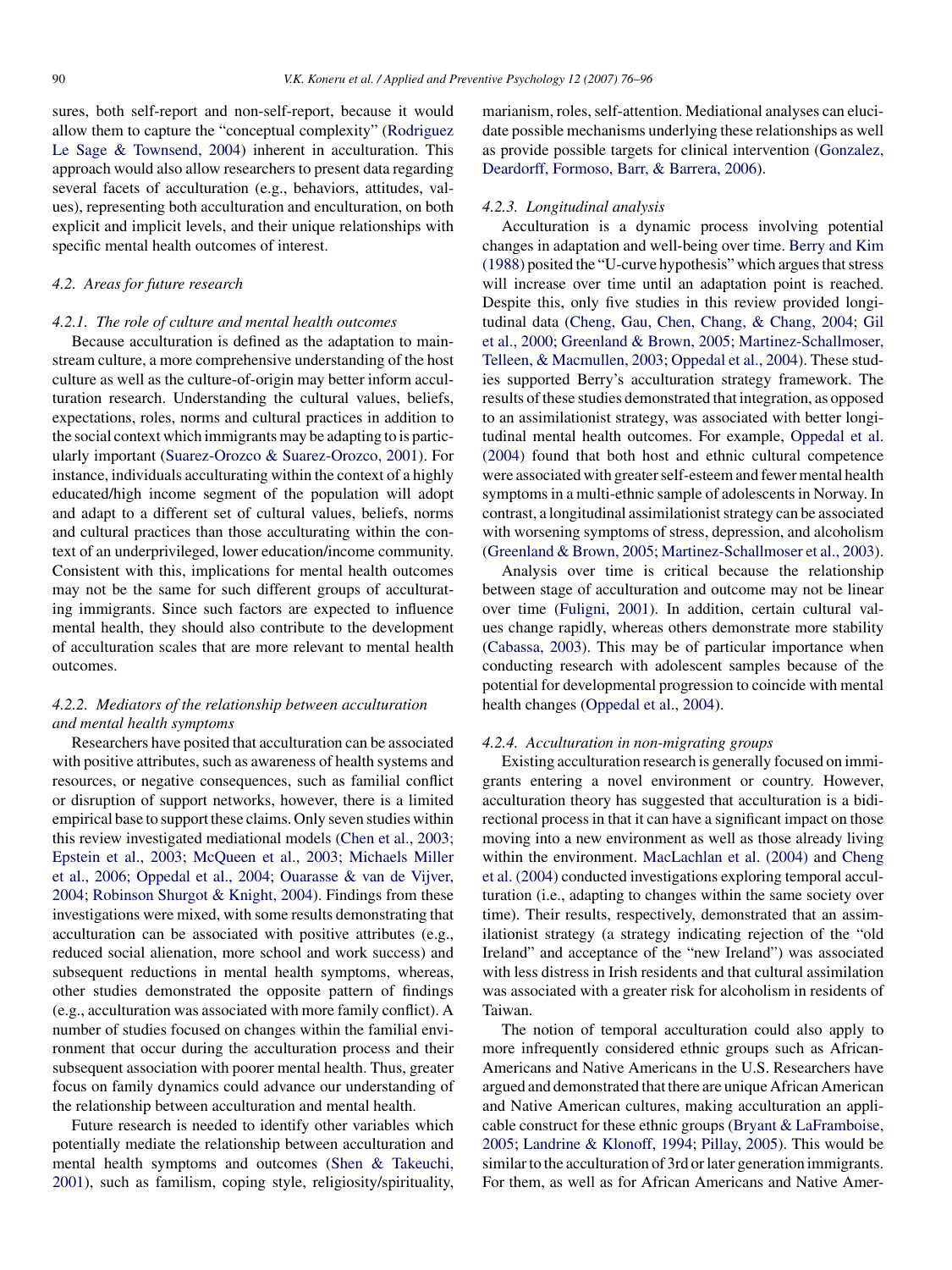sures, both self-report and non-self-report, because it would allow them to capture the "conceptual complexity" [\(Rodriguez](#page-19-0) [Le Sage & Townsend, 2004\)](#page-19-0) inherent in acculturation. This approach would also allow researchers to present data regarding several facets of acculturation (e.g., behaviors, attitudes, values), representing both acculturation and enculturation, on both explicit and implicit levels, and their unique relationships with specific mental health outcomes of interest.

#### *4.2. Areas for future research*

## *4.2.1. The role of culture and mental health outcomes*

Because acculturation is defined as the adaptation to mainstream culture, a more comprehensive understanding of the host culture as well as the culture-of-origin may better inform acculturation research. Understanding the cultural values, beliefs, expectations, roles, norms and cultural practices in addition to the social context which immigrants may be adapting to is particularly important ([Suarez-Orozco & Suarez-Orozco, 2001\).](#page-20-0) For instance, individuals acculturating within the context of a highly educated/high income segment of the population will adopt and adapt to a different set of cultural values, beliefs, norms and cultural practices than those acculturating within the context of an underprivileged, lower education/income community. Consistent with this, implications for mental health outcomes may not be the same for such different groups of acculturating immigrants. Since such factors are expected to influence mental health, they should also contribute to the development of acculturation scales that are more relevant to mental health outcomes.

# *4.2.2. Mediators of the relationship between acculturation and mental health symptoms*

Researchers have posited that acculturation can be associated with positive attributes, such as awareness of health systems and resources, or negative consequences, such as familial conflict or disruption of support networks, however, there is a limited empirical base to support these claims. Only seven studies within this review investigated mediational models [\(Chen et al., 2003;](#page-16-0) [Epstein et al., 2003; McQueen et al., 2003; Michaels Miller](#page-16-0) [et al., 2006; Oppedal et al., 2004;](#page-16-0) [Ouarasse & van de Vijver,](#page-18-0) [2004;](#page-18-0) [Robinson Shurgot & Knight, 2004\).](#page-19-0) Findings from these investigations were mixed, with some results demonstrating that acculturation can be associated with positive attributes (e.g., reduced social alienation, more school and work success) and subsequent reductions in mental health symptoms, whereas, other studies demonstrated the opposite pattern of findings (e.g., acculturation was associated with more family conflict). A number of studies focused on changes within the familial environment that occur during the acculturation process and their subsequent association with poorer mental health. Thus, greater focus on family dynamics could advance our understanding of the relationship between acculturation and mental health.

Future research is needed to identify other variables which potentially mediate the relationship between acculturation and mental health symptoms and outcomes [\(Shen & Takeuchi,](#page-19-0) [2001\),](#page-19-0) such as familism, coping style, religiosity/spirituality, marianism, roles, self-attention. Mediational analyses can elucidate possible mechanisms underlying these relationships as well as provide possible targets for clinical intervention ([Gonzalez,](#page-17-0) [Deardorff, Formoso, Barr, & Barrera, 2006\).](#page-17-0)

# *4.2.3. Longitudinal analysis*

Acculturation is a dynamic process involving potential changes in adaptation and well-being over time. [Berry and Kim](#page-15-0) [\(1988\)](#page-15-0) posited the "U-curve hypothesis" which argues that stress will increase over time until an adaptation point is reached. Despite this, only five studies in this review provided longitudinal data ([Cheng, Gau, Chen, Chang, & Chang, 2004;](#page-16-0) [Gil](#page-17-0) [et al., 2000;](#page-17-0) [Greenland & Brown, 2005;](#page-17-0) [Martinez-Schallmoser,](#page-18-0) [Telleen, & Macmullen, 2003;](#page-18-0) [Oppedal et al., 2004\).](#page-18-0) These studies supported Berry's acculturation strategy framework. The results of these studies demonstrated that integration, as opposed to an assimilationist strategy, was associated with better longitudinal mental health outcomes. For example, [Oppedal et al.](#page-18-0) [\(2004\)](#page-18-0) found that both host and ethnic cultural competence were associated with greater self-esteem and fewer mental health symptoms in a multi-ethnic sample of adolescents in Norway. In contrast, a longitudinal assimilationist strategy can be associated with worsening symptoms of stress, depression, and alcoholism [\(Greenland & Brown, 2005;](#page-16-0) [Martinez-Schallmoser et al., 2003\).](#page-18-0)

Analysis over time is critical because the relationship between stage of acculturation and outcome may not be linear over time [\(Fuligni, 2001\).](#page-16-0) In addition, certain cultural values change rapidly, whereas others demonstrate more stability [\(Cabassa, 2003\).](#page-16-0) This may be of particular importance when conducting research with adolescent samples because of the potential for developmental progression to coincide with mental health changes ([Oppedal et al., 2004\).](#page-18-0)

#### *4.2.4. Acculturation in non-migrating groups*

Existing acculturation research is generally focused on immigrants entering a novel environment or country. However, acculturation theory has suggested that acculturation is a bidirectional process in that it can have a significant impact on those moving into a new environment as well as those already living within the environment. [MacLachlan et al. \(2004\)](#page-18-0) and [Cheng](#page-16-0) [et al. \(2004\)](#page-16-0) conducted investigations exploring temporal acculturation (i.e., adapting to changes within the same society over time). Their results, respectively, demonstrated that an assimilationist strategy (a strategy indicating rejection of the "old Ireland" and acceptance of the "new Ireland") was associated with less distress in Irish residents and that cultural assimilation was associated with a greater risk for alcoholism in residents of Taiwan.

The notion of temporal acculturation could also apply to more infrequently considered ethnic groups such as African-Americans and Native Americans in the U.S. Researchers have argued and demonstrated that there are unique African American and Native American cultures, making acculturation an applicable construct for these ethnic groups ([Bryant & LaFramboise,](#page-16-0) [2005;](#page-16-0) [Landrine & Klonoff, 1994;](#page-18-0) [Pillay, 2005\).](#page-19-0) This would be similar to the acculturation of 3rd or later generation immigrants. For them, as well as for African Americans and Native Amer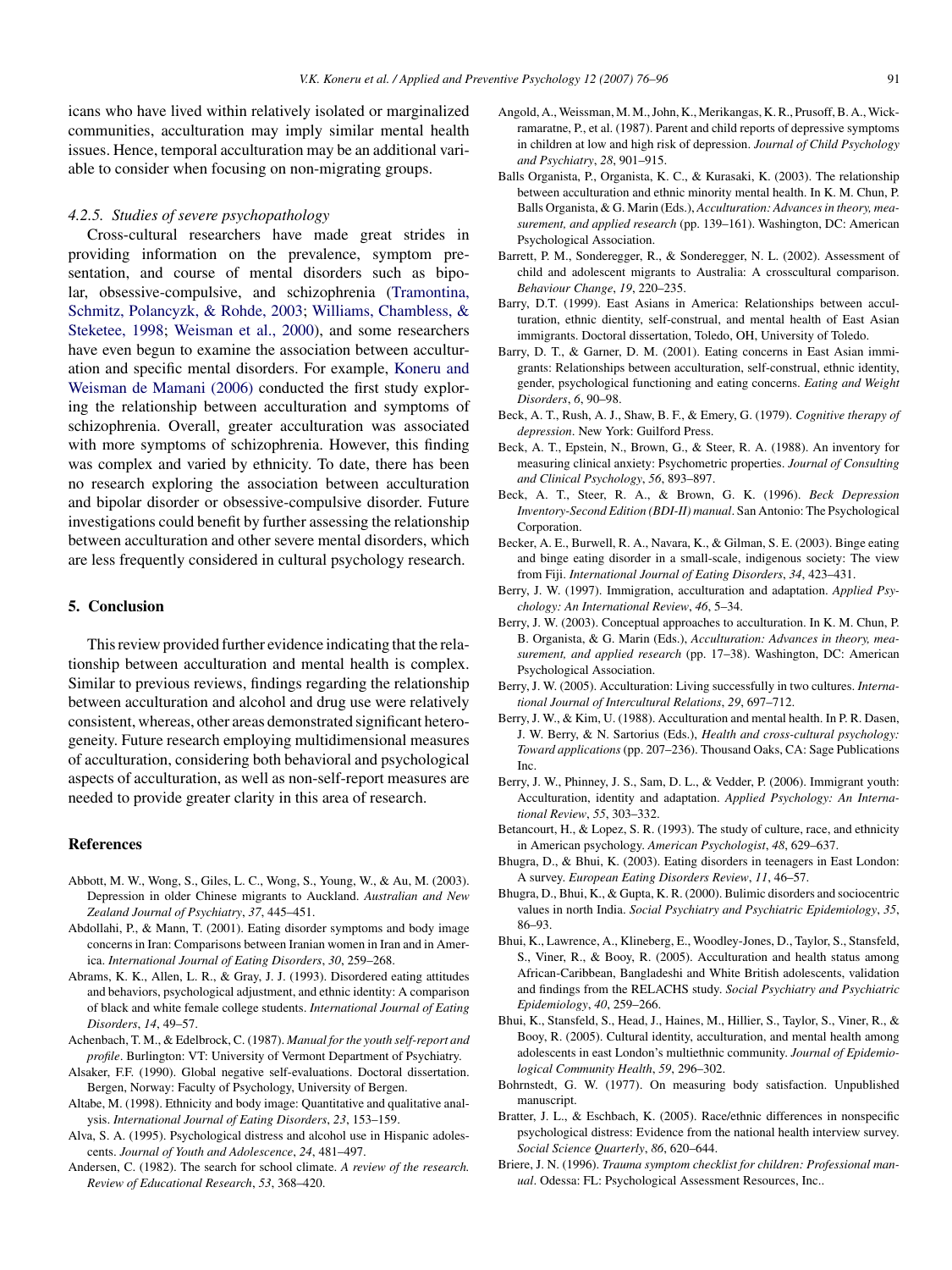<span id="page-15-0"></span>icans who have lived within relatively isolated or marginalized communities, acculturation may imply similar mental health issues. Hence, temporal acculturation may be an additional variable to consider when focusing on non-migrating groups.

## *4.2.5. Studies of severe psychopathology*

Cross-cultural researchers have made great strides in providing information on the prevalence, symptom presentation, and course of mental disorders such as bipolar, obsessive-compulsive, and schizophrenia [\(Tramontina,](#page-20-0) [Schmitz, Polancyzk, & Rohde, 2003;](#page-20-0) [Williams, Chambless, &](#page-20-0) [Steketee, 1998;](#page-20-0) [Weisman et al., 2000\),](#page-20-0) and some researchers have even begun to examine the association between acculturation and specific mental disorders. For example, [Koneru and](#page-17-0) [Weisman de Mamani \(2006\)](#page-17-0) conducted the first study exploring the relationship between acculturation and symptoms of schizophrenia. Overall, greater acculturation was associated with more symptoms of schizophrenia. However, this finding was complex and varied by ethnicity. To date, there has been no research exploring the association between acculturation and bipolar disorder or obsessive-compulsive disorder. Future investigations could benefit by further assessing the relationship between acculturation and other severe mental disorders, which are less frequently considered in cultural psychology research.

## **5. Conclusion**

This review provided further evidence indicating that the relationship between acculturation and mental health is complex. Similar to previous reviews, findings regarding the relationship between acculturation and alcohol and drug use were relatively consistent, whereas, other areas demonstrated significant heterogeneity. Future research employing multidimensional measures of acculturation, considering both behavioral and psychological aspects of acculturation, as well as non-self-report measures are needed to provide greater clarity in this area of research.

#### **References**

- Abbott, M. W., Wong, S., Giles, L. C., Wong, S., Young, W., & Au, M. (2003). Depression in older Chinese migrants to Auckland. *Australian and New Zealand Journal of Psychiatry*, *37*, 445–451.
- Abdollahi, P., & Mann, T. (2001). Eating disorder symptoms and body image concerns in Iran: Comparisons between Iranian women in Iran and in America. *International Journal of Eating Disorders*, *30*, 259–268.
- Abrams, K. K., Allen, L. R., & Gray, J. J. (1993). Disordered eating attitudes and behaviors, psychological adjustment, and ethnic identity: A comparison of black and white female college students. *International Journal of Eating Disorders*, *14*, 49–57.
- Achenbach, T. M., & Edelbrock, C. (1987). *Manual for the youth self-report and profile*. Burlington: VT: University of Vermont Department of Psychiatry.
- Alsaker, F.F. (1990). Global negative self-evaluations. Doctoral dissertation. Bergen, Norway: Faculty of Psychology, University of Bergen.
- Altabe, M. (1998). Ethnicity and body image: Quantitative and qualitative analysis. *International Journal of Eating Disorders*, *23*, 153–159.
- Alva, S. A. (1995). Psychological distress and alcohol use in Hispanic adolescents. *Journal of Youth and Adolescence*, *24*, 481–497.
- Andersen, C. (1982). The search for school climate. *A review of the research. Review of Educational Research*, *53*, 368–420.
- Angold, A., Weissman, M. M., John, K., Merikangas, K. R., Prusoff, B. A., Wickramaratne, P., et al. (1987). Parent and child reports of depressive symptoms in children at low and high risk of depression. *Journal of Child Psychology and Psychiatry*, *28*, 901–915.
- Balls Organista, P., Organista, K. C., & Kurasaki, K. (2003). The relationship between acculturation and ethnic minority mental health. In K. M. Chun, P. Balls Organista, & G. Marin (Eds.), *Acculturation: Advances in theory, measurement, and applied research* (pp. 139–161). Washington, DC: American Psychological Association.
- Barrett, P. M., Sonderegger, R., & Sonderegger, N. L. (2002). Assessment of child and adolescent migrants to Australia: A crosscultural comparison. *Behaviour Change*, *19*, 220–235.
- Barry, D.T. (1999). East Asians in America: Relationships between acculturation, ethnic dientity, self-construal, and mental health of East Asian immigrants. Doctoral dissertation, Toledo, OH, University of Toledo.
- Barry, D. T., & Garner, D. M. (2001). Eating concerns in East Asian immigrants: Relationships between acculturation, self-construal, ethnic identity, gender, psychological functioning and eating concerns. *Eating and Weight Disorders*, *6*, 90–98.
- Beck, A. T., Rush, A. J., Shaw, B. F., & Emery, G. (1979). *Cognitive therapy of depression*. New York: Guilford Press.
- Beck, A. T., Epstein, N., Brown, G., & Steer, R. A. (1988). An inventory for measuring clinical anxiety: Psychometric properties. *Journal of Consulting and Clinical Psychology*, *56*, 893–897.
- Beck, A. T., Steer, R. A., & Brown, G. K. (1996). *Beck Depression Inventory-Second Edition (BDI-II) manual*. San Antonio: The Psychological Corporation.
- Becker, A. E., Burwell, R. A., Navara, K., & Gilman, S. E. (2003). Binge eating and binge eating disorder in a small-scale, indigenous society: The view from Fiji. *International Journal of Eating Disorders*, *34*, 423–431.
- Berry, J. W. (1997). Immigration, acculturation and adaptation. *Applied Psychology: An International Review*, *46*, 5–34.
- Berry, J. W. (2003). Conceptual approaches to acculturation. In K. M. Chun, P. B. Organista, & G. Marin (Eds.), *Acculturation: Advances in theory, measurement, and applied research* (pp. 17–38). Washington, DC: American Psychological Association.
- Berry, J. W. (2005). Acculturation: Living successfully in two cultures. *International Journal of Intercultural Relations*, *29*, 697–712.
- Berry, J. W., & Kim, U. (1988). Acculturation and mental health. In P. R. Dasen, J. W. Berry, & N. Sartorius (Eds.), *Health and cross-cultural psychology: Toward applications* (pp. 207–236). Thousand Oaks, CA: Sage Publications Inc.
- Berry, J. W., Phinney, J. S., Sam, D. L., & Vedder, P. (2006). Immigrant youth: Acculturation, identity and adaptation. *Applied Psychology: An International Review*, *55*, 303–332.
- Betancourt, H., & Lopez, S. R. (1993). The study of culture, race, and ethnicity in American psychology. *American Psychologist*, *48*, 629–637.
- Bhugra, D., & Bhui, K. (2003). Eating disorders in teenagers in East London: A survey. *European Eating Disorders Review*, *11*, 46–57.
- Bhugra, D., Bhui, K., & Gupta, K. R. (2000). Bulimic disorders and sociocentric values in north India. *Social Psychiatry and Psychiatric Epidemiology*, *35*, 86–93.
- Bhui, K., Lawrence, A., Klineberg, E., Woodley-Jones, D., Taylor, S., Stansfeld, S., Viner, R., & Booy, R. (2005). Acculturation and health status among African-Caribbean, Bangladeshi and White British adolescents, validation and findings from the RELACHS study. *Social Psychiatry and Psychiatric Epidemiology*, *40*, 259–266.
- Bhui, K., Stansfeld, S., Head, J., Haines, M., Hillier, S., Taylor, S., Viner, R., & Booy, R. (2005). Cultural identity, acculturation, and mental health among adolescents in east London's multiethnic community. *Journal of Epidemiological Community Health*, *59*, 296–302.
- Bohrnstedt, G. W. (1977). On measuring body satisfaction. Unpublished manuscript.
- Bratter, J. L., & Eschbach, K. (2005). Race/ethnic differences in nonspecific psychological distress: Evidence from the national health interview survey. *Social Science Quarterly*, *86*, 620–644.
- Briere, J. N. (1996). *Trauma symptom checklist for children: Professional manual*. Odessa: FL: Psychological Assessment Resources, Inc..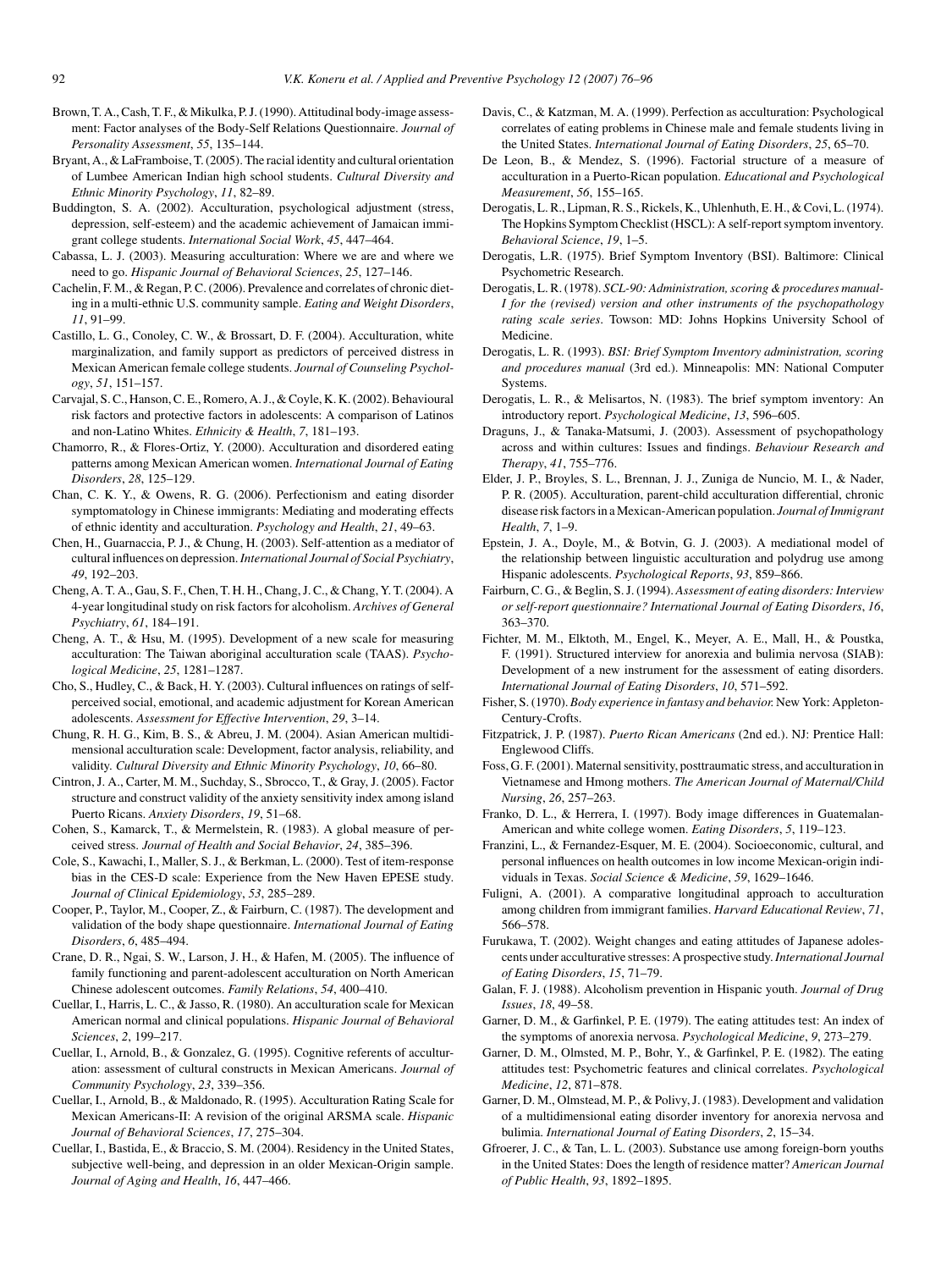- <span id="page-16-0"></span>Brown, T. A., Cash, T. F., & Mikulka, P. J. (1990). Attitudinal body-image assessment: Factor analyses of the Body-Self Relations Questionnaire. *Journal of Personality Assessment*, *55*, 135–144.
- Bryant, A., & LaFramboise, T. (2005). The racial identity and cultural orientation of Lumbee American Indian high school students. *Cultural Diversity and Ethnic Minority Psychology*, *11*, 82–89.
- Buddington, S. A. (2002). Acculturation, psychological adjustment (stress, depression, self-esteem) and the academic achievement of Jamaican immigrant college students. *International Social Work*, *45*, 447–464.
- Cabassa, L. J. (2003). Measuring acculturation: Where we are and where we need to go. *Hispanic Journal of Behavioral Sciences*, *25*, 127–146.
- Cachelin, F. M., & Regan, P. C. (2006). Prevalence and correlates of chronic dieting in a multi-ethnic U.S. community sample. *Eating and Weight Disorders*, *11*, 91–99.
- Castillo, L. G., Conoley, C. W., & Brossart, D. F. (2004). Acculturation, white marginalization, and family support as predictors of perceived distress in Mexican American female college students. *Journal of Counseling Psychology*, *51*, 151–157.
- Carvajal, S. C., Hanson, C. E., Romero, A. J., & Coyle, K. K. (2002). Behavioural risk factors and protective factors in adolescents: A comparison of Latinos and non-Latino Whites. *Ethnicity & Health*, *7*, 181–193.
- Chamorro, R., & Flores-Ortiz, Y. (2000). Acculturation and disordered eating patterns among Mexican American women. *International Journal of Eating Disorders*, *28*, 125–129.
- Chan, C. K. Y., & Owens, R. G. (2006). Perfectionism and eating disorder symptomatology in Chinese immigrants: Mediating and moderating effects of ethnic identity and acculturation. *Psychology and Health*, *21*, 49–63.
- Chen, H., Guarnaccia, P. J., & Chung, H. (2003). Self-attention as a mediator of cultural influences on depression.*International Journal of Social Psychiatry*, *49*, 192–203.
- Cheng, A. T. A., Gau, S. F., Chen, T. H. H., Chang, J. C., & Chang, Y. T. (2004). A 4-year longitudinal study on risk factors for alcoholism. *Archives of General Psychiatry*, *61*, 184–191.
- Cheng, A. T., & Hsu, M. (1995). Development of a new scale for measuring acculturation: The Taiwan aboriginal acculturation scale (TAAS). *Psychological Medicine*, *25*, 1281–1287.
- Cho, S., Hudley, C., & Back, H. Y. (2003). Cultural influences on ratings of selfperceived social, emotional, and academic adjustment for Korean American adolescents. *Assessment for Effective Intervention*, *29*, 3–14.
- Chung, R. H. G., Kim, B. S., & Abreu, J. M. (2004). Asian American multidimensional acculturation scale: Development, factor analysis, reliability, and validity. *Cultural Diversity and Ethnic Minority Psychology*, *10*, 66–80.
- Cintron, J. A., Carter, M. M., Suchday, S., Sbrocco, T., & Gray, J. (2005). Factor structure and construct validity of the anxiety sensitivity index among island Puerto Ricans. *Anxiety Disorders*, *19*, 51–68.
- Cohen, S., Kamarck, T., & Mermelstein, R. (1983). A global measure of perceived stress. *Journal of Health and Social Behavior*, *24*, 385–396.
- Cole, S., Kawachi, I., Maller, S. J., & Berkman, L. (2000). Test of item-response bias in the CES-D scale: Experience from the New Haven EPESE study. *Journal of Clinical Epidemiology*, *53*, 285–289.
- Cooper, P., Taylor, M., Cooper, Z., & Fairburn, C. (1987). The development and validation of the body shape questionnaire. *International Journal of Eating Disorders*, *6*, 485–494.
- Crane, D. R., Ngai, S. W., Larson, J. H., & Hafen, M. (2005). The influence of family functioning and parent-adolescent acculturation on North American Chinese adolescent outcomes. *Family Relations*, *54*, 400–410.
- Cuellar, I., Harris, L. C., & Jasso, R. (1980). An acculturation scale for Mexican American normal and clinical populations. *Hispanic Journal of Behavioral Sciences*, *2*, 199–217.
- Cuellar, I., Arnold, B., & Gonzalez, G. (1995). Cognitive referents of acculturation: assessment of cultural constructs in Mexican Americans. *Journal of Community Psychology*, *23*, 339–356.
- Cuellar, I., Arnold, B., & Maldonado, R. (1995). Acculturation Rating Scale for Mexican Americans-II: A revision of the original ARSMA scale. *Hispanic Journal of Behavioral Sciences*, *17*, 275–304.
- Cuellar, I., Bastida, E., & Braccio, S. M. (2004). Residency in the United States, subjective well-being, and depression in an older Mexican-Origin sample. *Journal of Aging and Health*, *16*, 447–466.
- Davis, C., & Katzman, M. A. (1999). Perfection as acculturation: Psychological correlates of eating problems in Chinese male and female students living in the United States. *International Journal of Eating Disorders*, *25*, 65–70.
- De Leon, B., & Mendez, S. (1996). Factorial structure of a measure of acculturation in a Puerto-Rican population. *Educational and Psychological Measurement*, *56*, 155–165.
- Derogatis, L. R., Lipman, R. S., Rickels, K., Uhlenhuth, E. H., & Covi, L. (1974). The Hopkins Symptom Checklist (HSCL): A self-report symptom inventory. *Behavioral Science*, *19*, 1–5.
- Derogatis, L.R. (1975). Brief Symptom Inventory (BSI). Baltimore: Clinical Psychometric Research.
- Derogatis, L. R. (1978). *SCL-90: Administration, scoring & procedures manual-I for the (revised) version and other instruments of the psychopathology rating scale series*. Towson: MD: Johns Hopkins University School of Medicine.
- Derogatis, L. R. (1993). *BSI: Brief Symptom Inventory administration, scoring and procedures manual* (3rd ed.). Minneapolis: MN: National Computer **Systems**.
- Derogatis, L. R., & Melisartos, N. (1983). The brief symptom inventory: An introductory report. *Psychological Medicine*, *13*, 596–605.
- Draguns, J., & Tanaka-Matsumi, J. (2003). Assessment of psychopathology across and within cultures: Issues and findings. *Behaviour Research and Therapy*, *41*, 755–776.
- Elder, J. P., Broyles, S. L., Brennan, J. J., Zuniga de Nuncio, M. I., & Nader, P. R. (2005). Acculturation, parent-child acculturation differential, chronic disease risk factors in a Mexican-American population. *Journal of Immigrant Health*, *7*, 1–9.
- Epstein, J. A., Doyle, M., & Botvin, G. J. (2003). A mediational model of the relationship between linguistic acculturation and polydrug use among Hispanic adolescents. *Psychological Reports*, *93*, 859–866.
- Fairburn, C. G., & Beglin, S. J. (1994). *Assessment of eating disorders: Interview or self-report questionnaire? International Journal of Eating Disorders*, *16*, 363–370.
- Fichter, M. M., Elktoth, M., Engel, K., Meyer, A. E., Mall, H., & Poustka, F. (1991). Structured interview for anorexia and bulimia nervosa (SIAB): Development of a new instrument for the assessment of eating disorders. *International Journal of Eating Disorders*, *10*, 571–592.
- Fisher, S. (1970). *Body experience in fantasy and behavior.* New York: Appleton-Century-Crofts.
- Fitzpatrick, J. P. (1987). *Puerto Rican Americans* (2nd ed.). NJ: Prentice Hall: Englewood Cliffs.
- Foss, G. F. (2001). Maternal sensitivity, posttraumatic stress, and acculturation in Vietnamese and Hmong mothers. *The American Journal of Maternal/Child Nursing*, *26*, 257–263.
- Franko, D. L., & Herrera, I. (1997). Body image differences in Guatemalan-American and white college women. *Eating Disorders*, *5*, 119–123.
- Franzini, L., & Fernandez-Esquer, M. E. (2004). Socioeconomic, cultural, and personal influences on health outcomes in low income Mexican-origin individuals in Texas. *Social Science & Medicine*, *59*, 1629–1646.
- Fuligni, A. (2001). A comparative longitudinal approach to acculturation among children from immigrant families. *Harvard Educational Review*, *71*, 566–578.
- Furukawa, T. (2002). Weight changes and eating attitudes of Japanese adolescents under acculturative stresses: A prospective study.*International Journal of Eating Disorders*, *15*, 71–79.
- Galan, F. J. (1988). Alcoholism prevention in Hispanic youth. *Journal of Drug Issues*, *18*, 49–58.
- Garner, D. M., & Garfinkel, P. E. (1979). The eating attitudes test: An index of the symptoms of anorexia nervosa. *Psychological Medicine*, *9*, 273–279.
- Garner, D. M., Olmsted, M. P., Bohr, Y., & Garfinkel, P. E. (1982). The eating attitudes test: Psychometric features and clinical correlates. *Psychological Medicine*, *12*, 871–878.
- Garner, D. M., Olmstead, M. P., & Polivy, J. (1983). Development and validation of a multidimensional eating disorder inventory for anorexia nervosa and bulimia. *International Journal of Eating Disorders*, *2*, 15–34.
- Gfroerer, J. C., & Tan, L. L. (2003). Substance use among foreign-born youths in the United States: Does the length of residence matter? *American Journal of Public Health*, *93*, 1892–1895.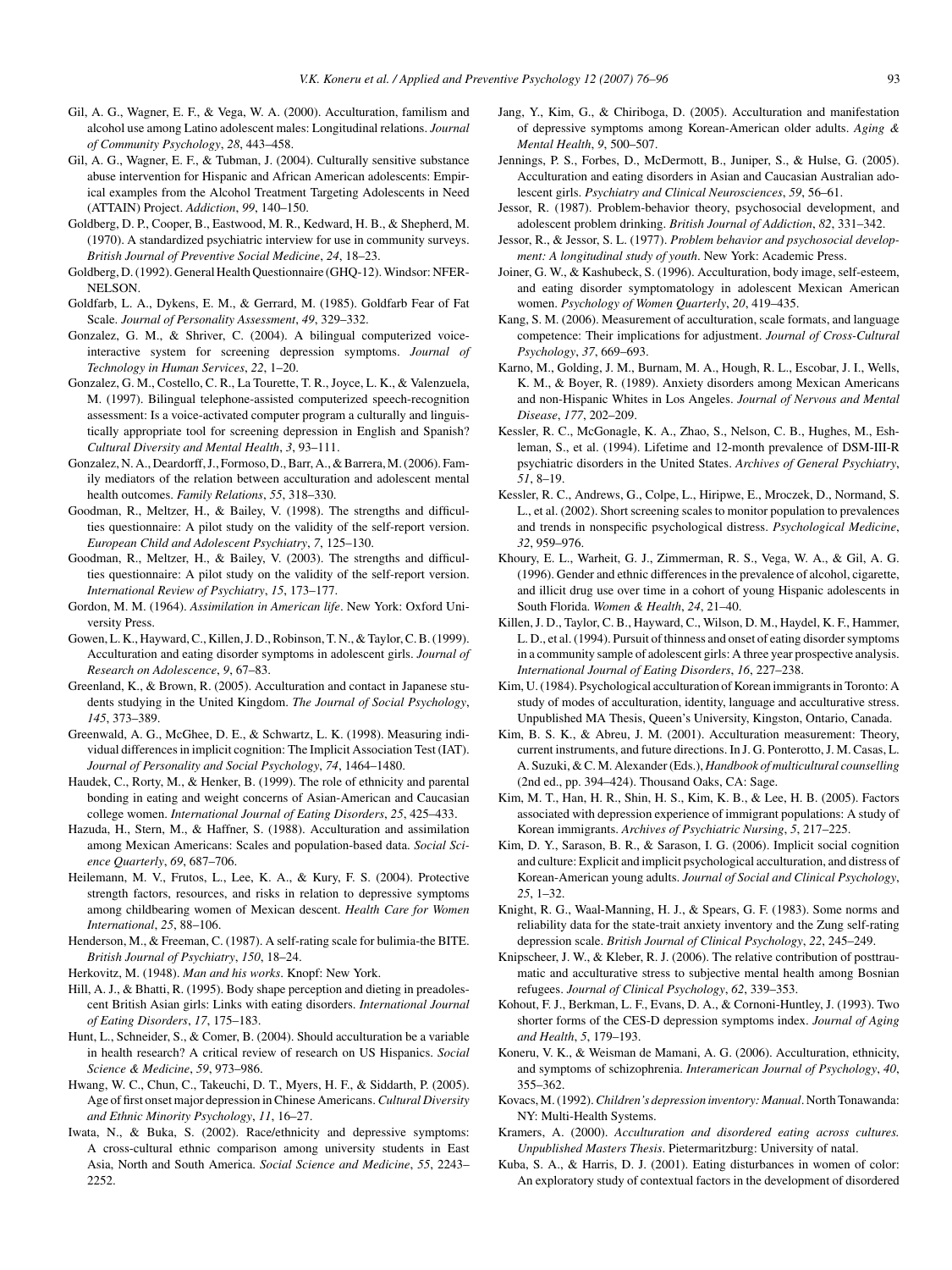- <span id="page-17-0"></span>Gil, A. G., Wagner, E. F., & Vega, W. A. (2000). Acculturation, familism and alcohol use among Latino adolescent males: Longitudinal relations. *Journal of Community Psychology*, *28*, 443–458.
- Gil, A. G., Wagner, E. F., & Tubman, J. (2004). Culturally sensitive substance abuse intervention for Hispanic and African American adolescents: Empirical examples from the Alcohol Treatment Targeting Adolescents in Need (ATTAIN) Project. *Addiction*, *99*, 140–150.
- Goldberg, D. P., Cooper, B., Eastwood, M. R., Kedward, H. B., & Shepherd, M. (1970). A standardized psychiatric interview for use in community surveys. *British Journal of Preventive Social Medicine*, *24*, 18–23.
- Goldberg, D. (1992). General Health Questionnaire (GHQ-12). Windsor: NFER-NELSON.
- Goldfarb, L. A., Dykens, E. M., & Gerrard, M. (1985). Goldfarb Fear of Fat Scale. *Journal of Personality Assessment*, *49*, 329–332.
- Gonzalez, G. M., & Shriver, C. (2004). A bilingual computerized voiceinteractive system for screening depression symptoms. *Journal of Technology in Human Services*, *22*, 1–20.
- Gonzalez, G. M., Costello, C. R., La Tourette, T. R., Joyce, L. K., & Valenzuela, M. (1997). Bilingual telephone-assisted computerized speech-recognition assessment: Is a voice-activated computer program a culturally and linguistically appropriate tool for screening depression in English and Spanish? *Cultural Diversity and Mental Health*, *3*, 93–111.
- Gonzalez, N. A., Deardorff, J., Formoso, D., Barr, A., & Barrera, M. (2006). Family mediators of the relation between acculturation and adolescent mental health outcomes. *Family Relations*, *55*, 318–330.
- Goodman, R., Meltzer, H., & Bailey, V. (1998). The strengths and difficulties questionnaire: A pilot study on the validity of the self-report version. *European Child and Adolescent Psychiatry*, *7*, 125–130.
- Goodman, R., Meltzer, H., & Bailey, V. (2003). The strengths and difficulties questionnaire: A pilot study on the validity of the self-report version. *International Review of Psychiatry*, *15*, 173–177.
- Gordon, M. M. (1964). *Assimilation in American life*. New York: Oxford University Press.
- Gowen, L. K., Hayward, C., Killen, J. D., Robinson, T. N., & Taylor, C. B. (1999). Acculturation and eating disorder symptoms in adolescent girls. *Journal of Research on Adolescence*, *9*, 67–83.
- Greenland, K., & Brown, R. (2005). Acculturation and contact in Japanese students studying in the United Kingdom. *The Journal of Social Psychology*, *145*, 373–389.
- Greenwald, A. G., McGhee, D. E., & Schwartz, L. K. (1998). Measuring individual differences in implicit cognition: The Implicit Association Test (IAT). *Journal of Personality and Social Psychology*, *74*, 1464–1480.
- Haudek, C., Rorty, M., & Henker, B. (1999). The role of ethnicity and parental bonding in eating and weight concerns of Asian-American and Caucasian college women. *International Journal of Eating Disorders*, *25*, 425–433.
- Hazuda, H., Stern, M., & Haffner, S. (1988). Acculturation and assimilation among Mexican Americans: Scales and population-based data. *Social Science Quarterly*, *69*, 687–706.
- Heilemann, M. V., Frutos, L., Lee, K. A., & Kury, F. S. (2004). Protective strength factors, resources, and risks in relation to depressive symptoms among childbearing women of Mexican descent. *Health Care for Women International*, *25*, 88–106.
- Henderson, M., & Freeman, C. (1987). A self-rating scale for bulimia-the BITE. *British Journal of Psychiatry*, *150*, 18–24.
- Herkovitz, M. (1948). *Man and his works*. Knopf: New York.
- Hill, A. J., & Bhatti, R. (1995). Body shape perception and dieting in preadolescent British Asian girls: Links with eating disorders. *International Journal of Eating Disorders*, *17*, 175–183.
- Hunt, L., Schneider, S., & Comer, B. (2004). Should acculturation be a variable in health research? A critical review of research on US Hispanics. *Social Science & Medicine*, *59*, 973–986.
- Hwang, W. C., Chun, C., Takeuchi, D. T., Myers, H. F., & Siddarth, P. (2005). Age of first onset major depression in Chinese Americans.*Cultural Diversity and Ethnic Minority Psychology*, *11*, 16–27.
- Iwata, N., & Buka, S. (2002). Race/ethnicity and depressive symptoms: A cross-cultural ethnic comparison among university students in East Asia, North and South America. *Social Science and Medicine*, *55*, 2243– 2252.
- Jang, Y., Kim, G., & Chiriboga, D. (2005). Acculturation and manifestation of depressive symptoms among Korean-American older adults. *Aging & Mental Health*, *9*, 500–507.
- Jennings, P. S., Forbes, D., McDermott, B., Juniper, S., & Hulse, G. (2005). Acculturation and eating disorders in Asian and Caucasian Australian adolescent girls. *Psychiatry and Clinical Neurosciences*, *59*, 56–61.
- Jessor, R. (1987). Problem-behavior theory, psychosocial development, and adolescent problem drinking. *British Journal of Addiction*, *82*, 331–342.
- Jessor, R., & Jessor, S. L. (1977). *Problem behavior and psychosocial development: A longitudinal study of youth*. New York: Academic Press.
- Joiner, G. W., & Kashubeck, S. (1996). Acculturation, body image, self-esteem, and eating disorder symptomatology in adolescent Mexican American women. *Psychology of Women Quarterly*, *20*, 419–435.
- Kang, S. M. (2006). Measurement of acculturation, scale formats, and language competence: Their implications for adjustment. *Journal of Cross-Cultural Psychology*, *37*, 669–693.
- Karno, M., Golding, J. M., Burnam, M. A., Hough, R. L., Escobar, J. I., Wells, K. M., & Boyer, R. (1989). Anxiety disorders among Mexican Americans and non-Hispanic Whites in Los Angeles. *Journal of Nervous and Mental Disease*, *177*, 202–209.
- Kessler, R. C., McGonagle, K. A., Zhao, S., Nelson, C. B., Hughes, M., Eshleman, S., et al. (1994). Lifetime and 12-month prevalence of DSM-III-R psychiatric disorders in the United States. *Archives of General Psychiatry*, *51*, 8–19.
- Kessler, R. C., Andrews, G., Colpe, L., Hiripwe, E., Mroczek, D., Normand, S. L., et al. (2002). Short screening scales to monitor population to prevalences and trends in nonspecific psychological distress. *Psychological Medicine*, *32*, 959–976.
- Khoury, E. L., Warheit, G. J., Zimmerman, R. S., Vega, W. A., & Gil, A. G. (1996). Gender and ethnic differences in the prevalence of alcohol, cigarette, and illicit drug use over time in a cohort of young Hispanic adolescents in South Florida. *Women & Health*, *24*, 21–40.
- Killen, J. D., Taylor, C. B., Hayward, C., Wilson, D. M., Haydel, K. F., Hammer, L. D., et al. (1994). Pursuit of thinness and onset of eating disorder symptoms in a community sample of adolescent girls: A three year prospective analysis. *International Journal of Eating Disorders*, *16*, 227–238.
- Kim, U. (1984). Psychological acculturation of Korean immigrants in Toronto: A study of modes of acculturation, identity, language and acculturative stress. Unpublished MA Thesis, Queen's University, Kingston, Ontario, Canada.
- Kim, B. S. K., & Abreu, J. M. (2001). Acculturation measurement: Theory, current instruments, and future directions. In J. G. Ponterotto, J. M. Casas, L. A. Suzuki, & C. M. Alexander (Eds.), *Handbook of multicultural counselling* (2nd ed., pp. 394–424). Thousand Oaks, CA: Sage.
- Kim, M. T., Han, H. R., Shin, H. S., Kim, K. B., & Lee, H. B. (2005). Factors associated with depression experience of immigrant populations: A study of Korean immigrants. *Archives of Psychiatric Nursing*, *5*, 217–225.
- Kim, D. Y., Sarason, B. R., & Sarason, I. G. (2006). Implicit social cognition and culture: Explicit and implicit psychological acculturation, and distress of Korean-American young adults. *Journal of Social and Clinical Psychology*, *25*, 1–32.
- Knight, R. G., Waal-Manning, H. J., & Spears, G. F. (1983). Some norms and reliability data for the state-trait anxiety inventory and the Zung self-rating depression scale. *British Journal of Clinical Psychology*, *22*, 245–249.
- Knipscheer, J. W., & Kleber, R. J. (2006). The relative contribution of posttraumatic and acculturative stress to subjective mental health among Bosnian refugees. *Journal of Clinical Psychology*, *62*, 339–353.
- Kohout, F. J., Berkman, L. F., Evans, D. A., & Cornoni-Huntley, J. (1993). Two shorter forms of the CES-D depression symptoms index. *Journal of Aging and Health*, *5*, 179–193.
- Koneru, V. K., & Weisman de Mamani, A. G. (2006). Acculturation, ethnicity, and symptoms of schizophrenia. *Interamerican Journal of Psychology*, *40*, 355–362.
- Kovacs, M. (1992).*Children's depression inventory: Manual*. North Tonawanda: NY: Multi-Health Systems.
- Kramers, A. (2000). *Acculturation and disordered eating across cultures. Unpublished Masters Thesis*. Pietermaritzburg: University of natal.
- Kuba, S. A., & Harris, D. J. (2001). Eating disturbances in women of color: An exploratory study of contextual factors in the development of disordered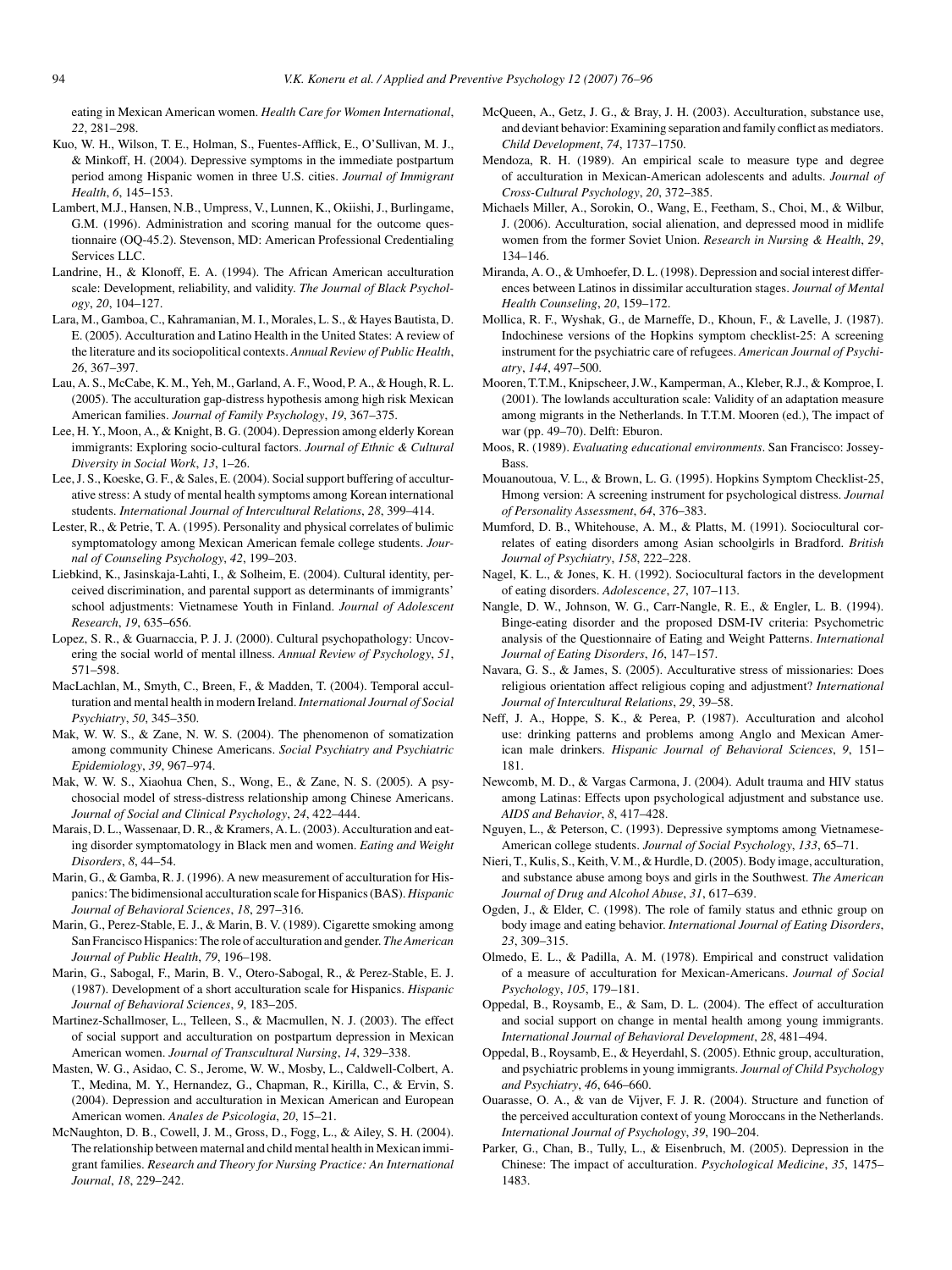<span id="page-18-0"></span>eating in Mexican American women. *Health Care for Women International*, *22*, 281–298.

- Kuo, W. H., Wilson, T. E., Holman, S., Fuentes-Afflick, E., O'Sullivan, M. J., & Minkoff, H. (2004). Depressive symptoms in the immediate postpartum period among Hispanic women in three U.S. cities. *Journal of Immigrant Health*, *6*, 145–153.
- Lambert, M.J., Hansen, N.B., Umpress, V., Lunnen, K., Okiishi, J., Burlingame, G.M. (1996). Administration and scoring manual for the outcome questionnaire (OQ-45.2). Stevenson, MD: American Professional Credentialing Services LLC.
- Landrine, H., & Klonoff, E. A. (1994). The African American acculturation scale: Development, reliability, and validity. *The Journal of Black Psychology*, *20*, 104–127.
- Lara, M., Gamboa, C., Kahramanian, M. I., Morales, L. S., & Hayes Bautista, D. E. (2005). Acculturation and Latino Health in the United States: A review of the literature and its sociopolitical contexts. *Annual Review of Public Health*, *26*, 367–397.
- Lau, A. S., McCabe, K. M., Yeh, M., Garland, A. F., Wood, P. A., & Hough, R. L. (2005). The acculturation gap-distress hypothesis among high risk Mexican American families. *Journal of Family Psychology*, *19*, 367–375.
- Lee, H. Y., Moon, A., & Knight, B. G. (2004). Depression among elderly Korean immigrants: Exploring socio-cultural factors. *Journal of Ethnic & Cultural Diversity in Social Work*, *13*, 1–26.
- Lee, J. S., Koeske, G. F., & Sales, E. (2004). Social support buffering of acculturative stress: A study of mental health symptoms among Korean international students. *International Journal of Intercultural Relations*, *28*, 399–414.
- Lester, R., & Petrie, T. A. (1995). Personality and physical correlates of bulimic symptomatology among Mexican American female college students. *Journal of Counseling Psychology*, *42*, 199–203.
- Liebkind, K., Jasinskaja-Lahti, I., & Solheim, E. (2004). Cultural identity, perceived discrimination, and parental support as determinants of immigrants' school adjustments: Vietnamese Youth in Finland. *Journal of Adolescent Research*, *19*, 635–656.
- Lopez, S. R., & Guarnaccia, P. J. J. (2000). Cultural psychopathology: Uncovering the social world of mental illness. *Annual Review of Psychology*, *51*, 571–598.
- MacLachlan, M., Smyth, C., Breen, F., & Madden, T. (2004). Temporal acculturation and mental health in modern Ireland. *International Journal of Social Psychiatry*, *50*, 345–350.
- Mak, W. W. S., & Zane, N. W. S. (2004). The phenomenon of somatization among community Chinese Americans. *Social Psychiatry and Psychiatric Epidemiology*, *39*, 967–974.
- Mak, W. W. S., Xiaohua Chen, S., Wong, E., & Zane, N. S. (2005). A psychosocial model of stress-distress relationship among Chinese Americans. *Journal of Social and Clinical Psychology*, *24*, 422–444.
- Marais, D. L., Wassenaar, D. R., & Kramers, A. L. (2003). Acculturation and eating disorder symptomatology in Black men and women. *Eating and Weight Disorders*, *8*, 44–54.
- Marin, G., & Gamba, R. J. (1996). A new measurement of acculturation for Hispanics: The bidimensional acculturation scale for Hispanics (BAS). *Hispanic Journal of Behavioral Sciences*, *18*, 297–316.
- Marin, G., Perez-Stable, E. J., & Marin, B. V. (1989). Cigarette smoking among San Francisco Hispanics: The role of acculturation and gender. *The American Journal of Public Health*, *79*, 196–198.
- Marin, G., Sabogal, F., Marin, B. V., Otero-Sabogal, R., & Perez-Stable, E. J. (1987). Development of a short acculturation scale for Hispanics. *Hispanic Journal of Behavioral Sciences*, *9*, 183–205.
- Martinez-Schallmoser, L., Telleen, S., & Macmullen, N. J. (2003). The effect of social support and acculturation on postpartum depression in Mexican American women. *Journal of Transcultural Nursing*, *14*, 329–338.
- Masten, W. G., Asidao, C. S., Jerome, W. W., Mosby, L., Caldwell-Colbert, A. T., Medina, M. Y., Hernandez, G., Chapman, R., Kirilla, C., & Ervin, S. (2004). Depression and acculturation in Mexican American and European American women. *Anales de Psicologia*, *20*, 15–21.
- McNaughton, D. B., Cowell, J. M., Gross, D., Fogg, L., & Ailey, S. H. (2004). The relationship between maternal and child mental health in Mexican immigrant families. *Research and Theory for Nursing Practice: An International Journal*, *18*, 229–242.
- McQueen, A., Getz, J. G., & Bray, J. H. (2003). Acculturation, substance use, and deviant behavior: Examining separation and family conflict as mediators. *Child Development*, *74*, 1737–1750.
- Mendoza, R. H. (1989). An empirical scale to measure type and degree of acculturation in Mexican-American adolescents and adults. *Journal of Cross-Cultural Psychology*, *20*, 372–385.
- Michaels Miller, A., Sorokin, O., Wang, E., Feetham, S., Choi, M., & Wilbur, J. (2006). Acculturation, social alienation, and depressed mood in midlife women from the former Soviet Union. *Research in Nursing & Health*, *29*, 134–146.
- Miranda, A. O., & Umhoefer, D. L. (1998). Depression and social interest differences between Latinos in dissimilar acculturation stages. *Journal of Mental Health Counseling*, *20*, 159–172.
- Mollica, R. F., Wyshak, G., de Marneffe, D., Khoun, F., & Lavelle, J. (1987). Indochinese versions of the Hopkins symptom checklist-25: A screening instrument for the psychiatric care of refugees. *American Journal of Psychiatry*, *144*, 497–500.
- Mooren, T.T.M., Knipscheer, J.W., Kamperman, A., Kleber, R.J., & Komproe, I. (2001). The lowlands acculturation scale: Validity of an adaptation measure among migrants in the Netherlands. In T.T.M. Mooren (ed.), The impact of war (pp. 49–70). Delft: Eburon.
- Moos, R. (1989). *Evaluating educational environments*. San Francisco: Jossey-Bass.
- Mouanoutoua, V. L., & Brown, L. G. (1995). Hopkins Symptom Checklist-25, Hmong version: A screening instrument for psychological distress. *Journal of Personality Assessment*, *64*, 376–383.
- Mumford, D. B., Whitehouse, A. M., & Platts, M. (1991). Sociocultural correlates of eating disorders among Asian schoolgirls in Bradford. *British Journal of Psychiatry*, *158*, 222–228.
- Nagel, K. L., & Jones, K. H. (1992). Sociocultural factors in the development of eating disorders. *Adolescence*, *27*, 107–113.
- Nangle, D. W., Johnson, W. G., Carr-Nangle, R. E., & Engler, L. B. (1994). Binge-eating disorder and the proposed DSM-IV criteria: Psychometric analysis of the Questionnaire of Eating and Weight Patterns. *International Journal of Eating Disorders*, *16*, 147–157.
- Navara, G. S., & James, S. (2005). Acculturative stress of missionaries: Does religious orientation affect religious coping and adjustment? *International Journal of Intercultural Relations*, *29*, 39–58.
- Neff, J. A., Hoppe, S. K., & Perea, P. (1987). Acculturation and alcohol use: drinking patterns and problems among Anglo and Mexican American male drinkers. *Hispanic Journal of Behavioral Sciences*, *9*, 151– 181.
- Newcomb, M. D., & Vargas Carmona, J. (2004). Adult trauma and HIV status among Latinas: Effects upon psychological adjustment and substance use. *AIDS and Behavior*, *8*, 417–428.
- Nguyen, L., & Peterson, C. (1993). Depressive symptoms among Vietnamese-American college students. *Journal of Social Psychology*, *133*, 65–71.
- Nieri, T., Kulis, S., Keith, V. M., & Hurdle, D. (2005). Body image, acculturation, and substance abuse among boys and girls in the Southwest. *The American Journal of Drug and Alcohol Abuse*, *31*, 617–639.
- Ogden, J., & Elder, C. (1998). The role of family status and ethnic group on body image and eating behavior. *International Journal of Eating Disorders*, *23*, 309–315.
- Olmedo, E. L., & Padilla, A. M. (1978). Empirical and construct validation of a measure of acculturation for Mexican-Americans. *Journal of Social Psychology*, *105*, 179–181.
- Oppedal, B., Roysamb, E., & Sam, D. L. (2004). The effect of acculturation and social support on change in mental health among young immigrants. *International Journal of Behavioral Development*, *28*, 481–494.
- Oppedal, B., Roysamb, E., & Heyerdahl, S. (2005). Ethnic group, acculturation, and psychiatric problems in young immigrants. *Journal of Child Psychology and Psychiatry*, *46*, 646–660.
- Ouarasse, O. A., & van de Vijver, F. J. R. (2004). Structure and function of the perceived acculturation context of young Moroccans in the Netherlands. *International Journal of Psychology*, *39*, 190–204.
- Parker, G., Chan, B., Tully, L., & Eisenbruch, M. (2005). Depression in the Chinese: The impact of acculturation. *Psychological Medicine*, *35*, 1475– 1483.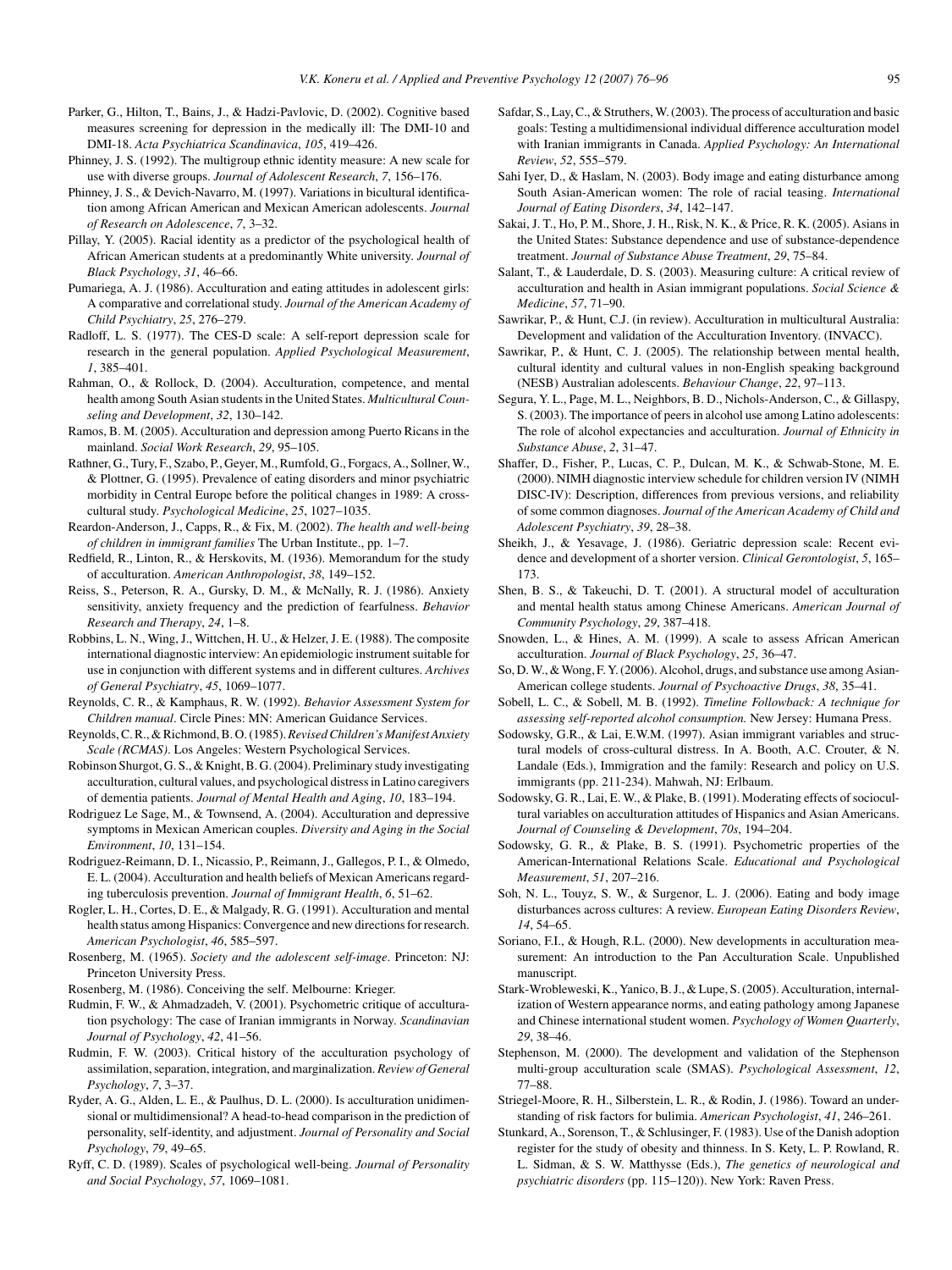- <span id="page-19-0"></span>Parker, G., Hilton, T., Bains, J., & Hadzi-Pavlovic, D. (2002). Cognitive based measures screening for depression in the medically ill: The DMI-10 and DMI-18. *Acta Psychiatrica Scandinavica*, *105*, 419–426.
- Phinney, J. S. (1992). The multigroup ethnic identity measure: A new scale for use with diverse groups. *Journal of Adolescent Research*, *7*, 156–176.
- Phinney, J. S., & Devich-Navarro, M. (1997). Variations in bicultural identification among African American and Mexican American adolescents. *Journal of Research on Adolescence*, *7*, 3–32.
- Pillay, Y. (2005). Racial identity as a predictor of the psychological health of African American students at a predominantly White university. *Journal of Black Psychology*, *31*, 46–66.
- Pumariega, A. J. (1986). Acculturation and eating attitudes in adolescent girls: A comparative and correlational study. *Journal of the American Academy of Child Psychiatry*, *25*, 276–279.
- Radloff, L. S. (1977). The CES-D scale: A self-report depression scale for research in the general population. *Applied Psychological Measurement*, *1*, 385–401.
- Rahman, O., & Rollock, D. (2004). Acculturation, competence, and mental health among South Asian students in the United States. *Multicultural Counseling and Development*, *32*, 130–142.
- Ramos, B. M. (2005). Acculturation and depression among Puerto Ricans in the mainland. *Social Work Research*, *29*, 95–105.
- Rathner, G., Tury, F., Szabo, P., Geyer, M., Rumfold, G., Forgacs, A., Sollner, W., & Plottner, G. (1995). Prevalence of eating disorders and minor psychiatric morbidity in Central Europe before the political changes in 1989: A crosscultural study. *Psychological Medicine*, *25*, 1027–1035.
- Reardon-Anderson, J., Capps, R., & Fix, M. (2002). *The health and well-being of children in immigrant families* The Urban Institute., pp. 1–7.
- Redfield, R., Linton, R., & Herskovits, M. (1936). Memorandum for the study of acculturation. *American Anthropologist*, *38*, 149–152.
- Reiss, S., Peterson, R. A., Gursky, D. M., & McNally, R. J. (1986). Anxiety sensitivity, anxiety frequency and the prediction of fearfulness. *Behavior Research and Therapy*, *24*, 1–8.
- Robbins, L. N., Wing, J., Wittchen, H. U., & Helzer, J. E. (1988). The composite international diagnostic interview: An epidemiologic instrument suitable for use in conjunction with different systems and in different cultures. *Archives of General Psychiatry*, *45*, 1069–1077.
- Reynolds, C. R., & Kamphaus, R. W. (1992). *Behavior Assessment System for Children manual*. Circle Pines: MN: American Guidance Services.
- Reynolds, C. R., & Richmond, B. O. (1985).*Revised Children's Manifest Anxiety Scale (RCMAS)*. Los Angeles: Western Psychological Services.
- Robinson Shurgot, G. S., & Knight, B. G. (2004). Preliminary study investigating acculturation, cultural values, and psychological distress in Latino caregivers of dementia patients. *Journal of Mental Health and Aging*, *10*, 183–194.
- Rodriguez Le Sage, M., & Townsend, A. (2004). Acculturation and depressive symptoms in Mexican American couples. *Diversity and Aging in the Social Environment*, *10*, 131–154.
- Rodriguez-Reimann, D. I., Nicassio, P., Reimann, J., Gallegos, P. I., & Olmedo, E. L. (2004). Acculturation and health beliefs of Mexican Americans regarding tuberculosis prevention. *Journal of Immigrant Health*, *6*, 51–62.
- Rogler, L. H., Cortes, D. E., & Malgady, R. G. (1991). Acculturation and mental health status among Hispanics: Convergence and new directions for research. *American Psychologist*, *46*, 585–597.
- Rosenberg, M. (1965). *Society and the adolescent self-image*. Princeton: NJ: Princeton University Press.
- Rosenberg, M. (1986). Conceiving the self. Melbourne: Krieger.
- Rudmin, F. W., & Ahmadzadeh, V. (2001). Psychometric critique of acculturation psychology: The case of Iranian immigrants in Norway. *Scandinavian Journal of Psychology*, *42*, 41–56.
- Rudmin, F. W. (2003). Critical history of the acculturation psychology of assimilation, separation, integration, and marginalization. *Review of General Psychology*, *7*, 3–37.
- Ryder, A. G., Alden, L. E., & Paulhus, D. L. (2000). Is acculturation unidimensional or multidimensional? A head-to-head comparison in the prediction of personality, self-identity, and adjustment. *Journal of Personality and Social Psychology*, *79*, 49–65.
- Ryff, C. D. (1989). Scales of psychological well-being. *Journal of Personality and Social Psychology*, *57*, 1069–1081.
- Safdar, S., Lay, C., & Struthers, W. (2003). The process of acculturation and basic goals: Testing a multidimensional individual difference acculturation model with Iranian immigrants in Canada. *Applied Psychology: An International Review*, *52*, 555–579.
- Sahi Iyer, D., & Haslam, N. (2003). Body image and eating disturbance among South Asian-American women: The role of racial teasing. *International Journal of Eating Disorders*, *34*, 142–147.
- Sakai, J. T., Ho, P. M., Shore, J. H., Risk, N. K., & Price, R. K. (2005). Asians in the United States: Substance dependence and use of substance-dependence treatment. *Journal of Substance Abuse Treatment*, *29*, 75–84.
- Salant, T., & Lauderdale, D. S. (2003). Measuring culture: A critical review of acculturation and health in Asian immigrant populations. *Social Science & Medicine*, *57*, 71–90.
- Sawrikar, P., & Hunt, C.J. (in review). Acculturation in multicultural Australia: Development and validation of the Acculturation Inventory. (INVACC).
- Sawrikar, P., & Hunt, C. J. (2005). The relationship between mental health, cultural identity and cultural values in non-English speaking background (NESB) Australian adolescents. *Behaviour Change*, *22*, 97–113.
- Segura, Y. L., Page, M. L., Neighbors, B. D., Nichols-Anderson, C., & Gillaspy, S. (2003). The importance of peers in alcohol use among Latino adolescents: The role of alcohol expectancies and acculturation. *Journal of Ethnicity in Substance Abuse*, *2*, 31–47.
- Shaffer, D., Fisher, P., Lucas, C. P., Dulcan, M. K., & Schwab-Stone, M. E. (2000). NIMH diagnostic interview schedule for children version IV (NIMH DISC-IV): Description, differences from previous versions, and reliability of some common diagnoses. *Journal of the American Academy of Child and Adolescent Psychiatry*, *39*, 28–38.
- Sheikh, J., & Yesavage, J. (1986). Geriatric depression scale: Recent evidence and development of a shorter version. *Clinical Gerontologist*, *5*, 165– 173.
- Shen, B. S., & Takeuchi, D. T. (2001). A structural model of acculturation and mental health status among Chinese Americans. *American Journal of Community Psychology*, *29*, 387–418.
- Snowden, L., & Hines, A. M. (1999). A scale to assess African American acculturation. *Journal of Black Psychology*, *25*, 36–47.
- So, D. W., & Wong, F. Y. (2006). Alcohol, drugs, and substance use among Asian-American college students. *Journal of Psychoactive Drugs*, *38*, 35–41.
- Sobell, L. C., & Sobell, M. B. (1992). *Timeline Followback: A technique for assessing self-reported alcohol consumption.* New Jersey: Humana Press.
- Sodowsky, G.R., & Lai, E.W.M. (1997). Asian immigrant variables and structural models of cross-cultural distress. In A. Booth, A.C. Crouter, & N. Landale (Eds.), Immigration and the family: Research and policy on U.S. immigrants (pp. 211-234). Mahwah, NJ: Erlbaum.
- Sodowsky, G. R., Lai, E. W., & Plake, B. (1991). Moderating effects of sociocultural variables on acculturation attitudes of Hispanics and Asian Americans. *Journal of Counseling & Development*, *70s*, 194–204.
- Sodowsky, G. R., & Plake, B. S. (1991). Psychometric properties of the American-International Relations Scale. *Educational and Psychological Measurement*, *51*, 207–216.
- Soh, N. L., Touyz, S. W., & Surgenor, L. J. (2006). Eating and body image disturbances across cultures: A review. *European Eating Disorders Review*, *14*, 54–65.
- Soriano, F.I., & Hough, R.L. (2000). New developments in acculturation measurement: An introduction to the Pan Acculturation Scale. Unpublished manuscript.
- Stark-Wrobleweski, K., Yanico, B. J., & Lupe, S. (2005). Acculturation, internalization of Western appearance norms, and eating pathology among Japanese and Chinese international student women. *Psychology of Women Quarterly*, *29*, 38–46.
- Stephenson, M. (2000). The development and validation of the Stephenson multi-group acculturation scale (SMAS). *Psychological Assessment*, *12*, 77–88.
- Striegel-Moore, R. H., Silberstein, L. R., & Rodin, J. (1986). Toward an understanding of risk factors for bulimia. *American Psychologist*, *41*, 246–261.
- Stunkard, A., Sorenson, T., & Schlusinger, F. (1983). Use of the Danish adoption register for the study of obesity and thinness. In S. Kety, L. P. Rowland, R. L. Sidman, & S. W. Matthysse (Eds.), *The genetics of neurological and psychiatric disorders* (pp. 115–120)). New York: Raven Press.